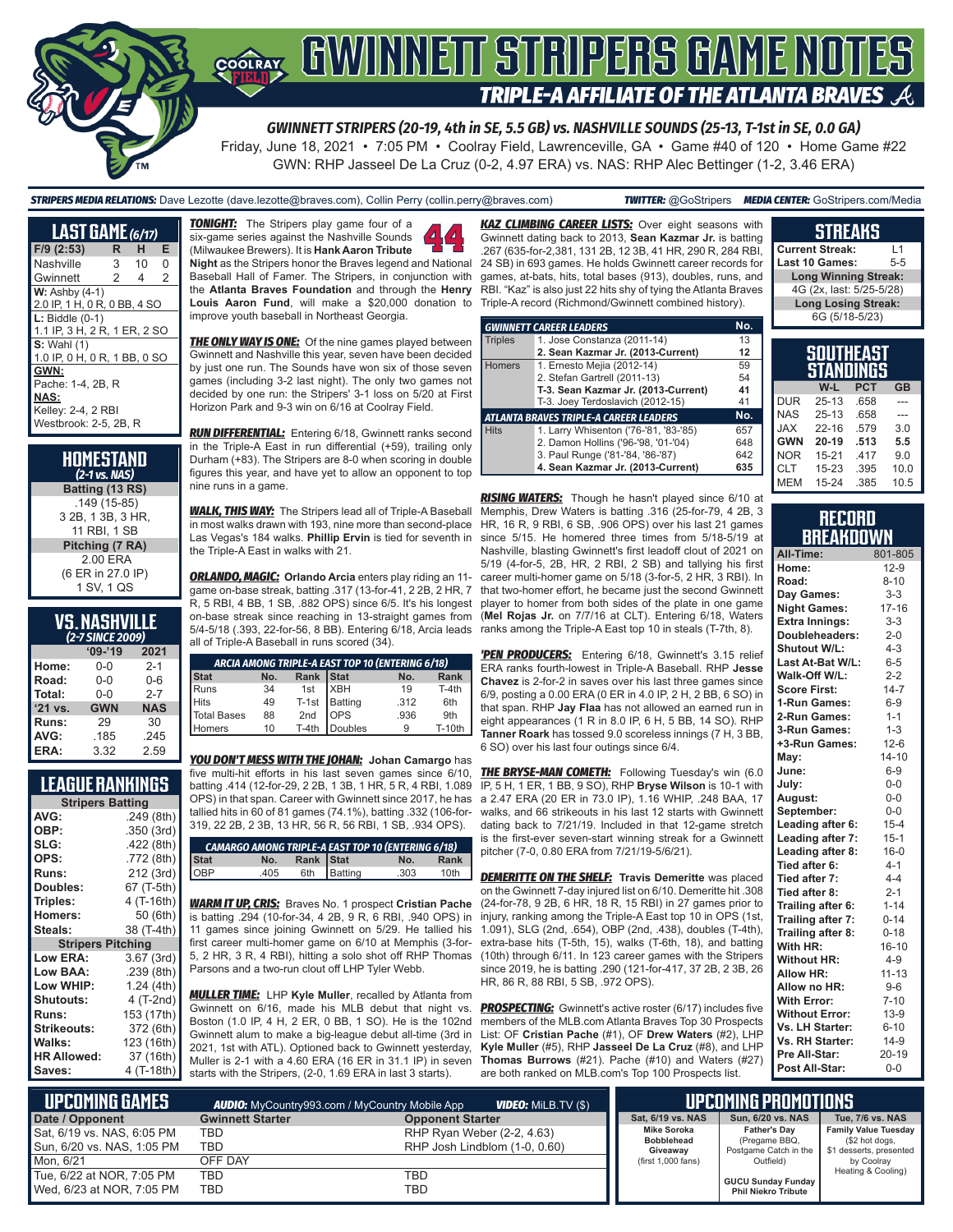

*GWINNETT STRIPERS (20-19, 4th in SE, 5.5 GB) vs. NASHVILLE SOUNDS (25-13, T-1st in SE, 0.0 GA)*

Friday, June 18, 2021 • 7:05 PM • Coolray Field, Lawrenceville, GA • Game #40 of 120 • Home Game #22 GWN: RHP Jasseel De La Cruz (0-2, 4.97 ERA) vs. NAS: RHP Alec Bettinger (1-2, 3.46 ERA)

*STRIPERS MEDIA RELATIONS:* Dave Lezotte (dave.lezotte@braves.com), Collin Perry (collin.perry@braves.com) *TWITTER:* @GoStripers *MEDIA CENTER:* GoStripers.com/Media

| <b>LAST GAME</b> (6/17)      |                |    |          |  |
|------------------------------|----------------|----|----------|--|
| F/9 (2:53)                   | R              | н  | E        |  |
| Nashville                    | 3              | 10 | $\Omega$ |  |
| Gwinnett                     | $\overline{c}$ | 4  | 2        |  |
| $W:$ Ashby $(4-1)$           |                |    |          |  |
| 2.0 IP, 1 H, 0 R, 0 BB, 4 SO |                |    |          |  |
| $L:$ Biddle $(0-1)$          |                |    |          |  |
| 1.1 IP, 3 H, 2 R, 1 ER, 2 SO |                |    |          |  |
| <b>S: Wahl (1)</b>           |                |    |          |  |
| 1.0 IP, 0 H, 0 R, 1 BB, 0 SO |                |    |          |  |
| GWN:                         |                |    |          |  |
| Pache: 1-4, 2B, R            |                |    |          |  |
| <b>NAS:</b>                  |                |    |          |  |
| Kelley: 2-4, 2 RBI           |                |    |          |  |
| Westbrook: 2-5, 2B, R        |                |    |          |  |

| HOMESTAND<br>$(2-1)$ vs. NAS)                      |
|----------------------------------------------------|
| Batting (13 RS)                                    |
| $.149(15-85)$<br>3 2B, 1 3B, 3 HR,<br>11 RBI, 1 SB |
| Pitching (7 RA)                                    |
| 200 FRA<br>(6 ER in 27.0 IP)<br>1 SV, 1 QS         |

#### **VS. NASHVILLE**  *(2-7 SINCE 2009)*

|              | <u>JIIVLE</u> |            |
|--------------|---------------|------------|
|              | $09 - 19$     | 2021       |
| Home:        | $0 - 0$       | $2 - 1$    |
| Road:        | $0 - 0$       | $0 - 6$    |
| Total:       | $0 - 0$       | $2 - 7$    |
| '21 vs.      | <b>GWN</b>    | <b>NAS</b> |
| <b>Runs:</b> | 29            | 30         |
| AVG:         | .185          | .245       |
| ERA:         | 3.32          | 2.59       |

### **LEAGUE RANKINGS**

|                          | <b>Stripers Batting</b> |  |  |  |  |
|--------------------------|-------------------------|--|--|--|--|
| AVG:                     | .249 (8th)              |  |  |  |  |
| OBP:                     | .350 (3rd)              |  |  |  |  |
| SLG:                     | .422 (8th)              |  |  |  |  |
| OPS:                     | .772 (8th)              |  |  |  |  |
| <b>Runs:</b>             | 212 (3rd)               |  |  |  |  |
| <b>Doubles:</b>          | 67 (T-5th)              |  |  |  |  |
| Triples:                 | 4 (T-16th)              |  |  |  |  |
| <b>Homers:</b>           | 50 (6th)                |  |  |  |  |
| Steals:                  | 38 (T-4th)              |  |  |  |  |
| <b>Stripers Pitching</b> |                         |  |  |  |  |
| <b>Low ERA:</b>          | 3.67 (3rd)              |  |  |  |  |
| Low BAA:                 | .239 (8th)              |  |  |  |  |
| Low WHIP:                | 1.24 (4th)              |  |  |  |  |
| <b>Shutouts:</b>         | 4 (T-2nd)               |  |  |  |  |
| <b>Runs:</b>             | 153 (17th)              |  |  |  |  |
| <b>Strikeouts:</b>       | 372 (6th)               |  |  |  |  |
| Walks:                   | 123 (16th)              |  |  |  |  |
| <b>HR Allowed:</b>       | 37 (16th)               |  |  |  |  |
| Saves:                   | 4 (T-18th)              |  |  |  |  |
|                          |                         |  |  |  |  |

**TONIGHT:** The Stripers play game four of a six-game series against the Nashville Sounds (Milwaukee Brewers). It is **Hank Aaron Tribute Night** as the Stripers honor the Braves legend and National Baseball Hall of Famer. The Stripers, in conjunction with the **Atlanta Braves Foundation** and through the **Henry Louis Aaron Fund**, will make a \$20,000 donation to improve youth baseball in Northeast Georgia.

**THE ONLY WAY IS ONE:** Of the nine games played between Gwinnett and Nashville this year, seven have been decided by just one run. The Sounds have won six of those seven games (including 3-2 last night). The only two games not decided by one run: the Stripers' 3-1 loss on 5/20 at First Horizon Park and 9-3 win on 6/16 at Coolray Field.

*RUN DIFFERENTIAL:* Entering 6/18, Gwinnett ranks second in the Triple-A East in run differential (+59), trailing only Durham (+83). The Stripers are 8-0 when scoring in double figures this year, and have yet to allow an opponent to top nine runs in a game.

*WALK, THIS WAY:* The Stripers lead all of Triple-A Baseball in most walks drawn with 193, nine more than second-place Las Vegas's 184 walks. **Phillip Ervin** is tied for seventh in the Triple-A East in walks with 21.

*ORLANDO, MAGIC:* **Orlando Arcia** enters play riding an 11 game on-base streak, batting .317 (13-for-41, 2 2B, 2 HR, 7 R, 5 RBI, 4 BB, 1 SB, .882 OPS) since 6/5. It's his longest on-base streak since reaching in 13-straight games from 5/4-5/18 (.393, 22-for-56, 8 BB). Entering 6/18, Arcia leads ranks among the Triple-A East top 10 in steals (T-7th, 8). all of Triple-A Baseball in runs scored (34).

| ARCIA AMONG TRIPLE-A EAST TOP 10 (ENTERING 6/18) |     |         |                                                                |               |  |  |  |
|--------------------------------------------------|-----|---------|----------------------------------------------------------------|---------------|--|--|--|
| No.<br>Stat<br><b>Rank</b><br>No.                |     |         |                                                                |               |  |  |  |
| 34                                               | 1st |         | 19                                                             | $T-4th$       |  |  |  |
| 49                                               |     |         | .312                                                           | 6th           |  |  |  |
| 88                                               |     |         | .936                                                           | 9th           |  |  |  |
| 10                                               |     |         |                                                                | <b>T-10th</b> |  |  |  |
|                                                  |     | $T-4th$ | Rank Stat<br><b>XBH</b><br>T-1st Batting<br>2nd OPS<br>Doubles |               |  |  |  |

*YOU DON'T MESS WITH THE JOHAN:* **Johan Camargo** has five multi-hit efforts in his last seven games since 6/10, batting .414 (12-for-29, 2 2B, 1 3B, 1 HR, 5 R, 4 RBI, 1.089 OPS) in that span. Career with Gwinnett since 2017, he has tallied hits in 60 of 81 games (74.1%), batting .332 (106-for-319, 22 2B, 2 3B, 13 HR, 56 R, 56 RBI, 1 SB, .934 OPS).

|             |      |           | <b>CAMARGO AMONG TRIPLE-A EAST TOP 10 (ENTERING 6/18)</b> |      |      |
|-------------|------|-----------|-----------------------------------------------------------|------|------|
| <b>Stat</b> | No.  | Rank Stat |                                                           | No.  | Rank |
| OBP         | .405 |           | 6th Batting                                               | .303 | 10th |

*WARM IT UP, CRIS:* Braves No. 1 prospect **Cristian Pache** is batting .294 (10-for-34, 4 2B, 9 R, 6 RBI, .940 OPS) in 11 games since joining Gwinnett on 5/29. He tallied his first career multi-homer game on 6/10 at Memphis (3-for-5, 2 HR, 3 R, 4 RBI), hitting a solo shot off RHP Thomas Parsons and a two-run clout off LHP Tyler Webb.

*MULLER TIME:* LHP **Kyle Muller**, recalled by Atlanta from Gwinnett on 6/16, made his MLB debut that night vs. Boston (1.0 IP, 4 H, 2 ER, 0 BB, 1 SO). He is the 102nd Gwinnett alum to make a big-league debut all-time (3rd in 2021, 1st with ATL). Optioned back to Gwinnett yesterday, Muller is 2-1 with a 4.60 ERA (16 ER in 31.1 IP) in seven starts with the Stripers, (2-0, 1.69 ERA in last 3 starts).

**KAZ CLIMBING CAREER LISTS:** Over eight seasons with Gwinnett dating back to 2013, **Sean Kazmar Jr.** is batting .267 (635-for-2,381, 131 2B, 12 3B, 41 HR, 290 R, 284 RBI, 24 SB) in 693 games. He holds Gwinnett career records for games, at-bats, hits, total bases (913), doubles, runs, and RBI. "Kaz" is also just 22 hits shy of tying the Atlanta Braves Triple-A record (Richmond/Gwinnett combined history).

|                                               | <b>GWINNETT CAREER LEADERS</b>        | No. |
|-----------------------------------------------|---------------------------------------|-----|
| <b>Triples</b>                                | 1. Jose Constanza (2011-14)           | 13  |
|                                               | 2. Sean Kazmar Jr. (2013-Current)     | 12  |
| Homers                                        | 1. Ernesto Mejia (2012-14)            | 59  |
|                                               | 2. Stefan Gartrell (2011-13)          | 54  |
|                                               | T-3. Sean Kazmar Jr. (2013-Current)   | 41  |
|                                               | T-3. Joey Terdoslavich (2012-15)      | 41  |
| <b>ATLANTA BRAVES TRIPLE-A CAREER LEADERS</b> |                                       |     |
| <b>Hits</b>                                   | 1. Larry Whisenton ('76-'81, '83-'85) | 657 |
|                                               | 2. Damon Hollins ('96-'98, '01-'04)   | 648 |
|                                               | 3. Paul Runge ('81-'84, '86-'87)      | 642 |
|                                               | 4. Sean Kazmar Jr. (2013-Current)     | 635 |

*RISING WATERS:* Though he hasn't played since 6/10 at Memphis, Drew Waters is batting .316 (25-for-79, 4 2B, 3 HR, 16 R, 9 RBI, 6 SB, .906 OPS) over his last 21 games since 5/15. He homered three times from 5/18-5/19 at Nashville, blasting Gwinnett's first leadoff clout of 2021 on 5/19 (4-for-5, 2B, HR, 2 RBI, 2 SB) and tallying his first career multi-homer game on 5/18 (3-for-5, 2 HR, 3 RBI). In that two-homer effort, he became just the second Gwinnett player to homer from both sides of the plate in one game (**Mel Rojas Jr.** on 7/7/16 at CLT). Entering 6/18, Waters

*'PEN PRODUCERS:* Entering 6/18, Gwinnett's 3.15 relief ERA ranks fourth-lowest in Triple-A Baseball. RHP **Jesse Chavez** is 2-for-2 in saves over his last three games since 6/9, posting a 0.00 ERA (0 ER in 4.0 IP, 2 H, 2 BB, 6 SO) in that span. RHP **Jay Flaa** has not allowed an earned run in eight appearances (1 R in 8.0 IP, 6 H, 5 BB, 14 SO). RHP **Tanner Roark** has tossed 9.0 scoreless innings (7 H, 3 BB, 6 SO) over his last four outings since 6/4.

**THE BRYSE-MAN COMETH:** Following Tuesday's win (6.0 IP, 5 H, 1 ER, 1 BB, 9 SO), RHP **Bryse Wilson** is 10-1 with a 2.47 ERA (20 ER in 73.0 IP), 1.16 WHIP, .248 BAA, 17 walks, and 66 strikeouts in his last 12 starts with Gwinnett dating back to 7/21/19. Included in that 12-game stretch is the first-ever seven-start winning streak for a Gwinnett pitcher (7-0, 0.80 ERA from 7/21/19-5/6/21).

*DEMERITTE ON THE SHELF:* **Travis Demeritte** was placed on the Gwinnett 7-day injured list on 6/10. Demeritte hit .308 (24-for-78, 9 2B, 6 HR, 18 R, 15 RBI) in 27 games prior to injury, ranking among the Triple-A East top 10 in OPS (1st, 1.091), SLG (2nd, .654), OBP (2nd, .438), doubles (T-4th), extra-base hits (T-5th, 15), walks (T-6th, 18), and batting (10th) through 6/11. In 123 career games with the Stripers since 2019, he is batting .290 (121-for-417, 37 2B, 2 3B, 26 HR, 86 R, 88 RBI, 5 SB, .972 OPS).

**PROSPECTING:** Gwinnett's active roster (6/17) includes five members of the MLB.com Atlanta Braves Top 30 Prospects List: OF **Cristian Pache** (#1), OF **Drew Waters** (#2), LHP **Kyle Muller** (#5), RHP **Jasseel De La Cruz** (#8), and LHP **Thomas Burrows** (#21). Pache (#10) and Waters (#27) are both ranked on MLB.com's Top 100 Prospects list.

|     | SOUTHEAST<br><b>STANDINGS</b> |    |
|-----|-------------------------------|----|
| W-I | <b>PCT</b>                    | GR |

**STREAKS Current Streak:** L1 **Last 10 Games:** 

**Long Winning Streak:** 4G (2x, last: 5/25-5/28) **Long Losing Streak:** 6G (5/18-5/23)

|            | VV-L      | ا تا ۳ | GD   |
|------------|-----------|--------|------|
| <b>DUR</b> | $25 - 13$ | .658   |      |
| <b>NAS</b> | $25 - 13$ | .658   |      |
| <b>JAX</b> | $22 - 16$ | .579   | 3.0  |
| <b>GWN</b> | $20-19$   | .513   | 5.5  |
| <b>NOR</b> | $15 - 21$ | .417   | 9.0  |
| <b>CLT</b> | $15 - 23$ | .395   | 10.0 |
| <b>MEM</b> | $15 - 24$ | .385   | 10.5 |
|            |           |        |      |

| RECORD           |  |
|------------------|--|
| <b>BREAKDOWN</b> |  |

| All-Time:             | 801-805   |
|-----------------------|-----------|
| Home:                 | $12-9$    |
| Road:                 | $8 - 10$  |
| Day Games:            | $3 - 3$   |
| <b>Night Games:</b>   | $17 - 16$ |
| <b>Extra Innings:</b> | $3 - 3$   |
| Doubleheaders:        | $2 - 0$   |
| Shutout W/L:          | $4 - 3$   |
| Last At-Bat W/L:      | $6-5$     |
| Walk-Off W/L:         | $2 - 2$   |
| <b>Score First:</b>   | $14 - 7$  |
| 1-Run Games:          | $6-9$     |
| 2-Run Games:          | $1 - 1$   |
| 3-Run Games:          | $1 - 3$   |
| +3-Run Games:         | $12-6$    |
| May:                  | $14 - 10$ |
| June:                 | $6-9$     |
| July:                 | $0-0$     |
| August:               | $0-0$     |
| September:            | $0-0$     |
| Leading after 6:      | $15 - 4$  |
| Leading after 7:      | $15 - 1$  |
| Leading after 8:      | $16 - 0$  |
| Tied after 6:         | $4 - 1$   |
| Tied after 7:         | $4 - 4$   |
| Tied after 8:         | $2 - 1$   |
| Trailing after 6:     | $1 - 14$  |
| Trailing after 7:     | $0 - 14$  |
| Trailing after 8:     | $0 - 18$  |
| With HR:              | $16 - 10$ |
| <b>Without HR:</b>    | $4 - 9$   |
| Allow HR:             | $11 - 13$ |
| Allow no HR:          | $9-6$     |
| <b>With Error:</b>    | $7 - 10$  |
| <b>Without Error:</b> | $13-9$    |
| Vs. LH Starter:       | $6 - 10$  |
| Vs. RH Starter:       | $14-9$    |
| Pre All-Star:         | $20 - 19$ |
| Post All-Star:        | $0 - 0$   |

| UPCOMING GAMES I           |                         | <b>VIDEO:</b> Milb.TV (\$)<br><b>AUDIO:</b> MyCountry993.com / MyCountry Mobile App |                                         | <b>UPCOMING PROMOTIONS</b>             |
|----------------------------|-------------------------|-------------------------------------------------------------------------------------|-----------------------------------------|----------------------------------------|
| Date / Opponent            | <b>Gwinnett Starter</b> | <b>Opponent Starter</b>                                                             |                                         | Sun, 6/20 vs. NAS<br>Sat, 6/19 vs. NAS |
| Sat, 6/19 vs. NAS, 6:05 PM | TBD                     | RHP Ryan Weber (2-2, 4.63)                                                          | <b>Mike Soroka</b><br><b>Bobblehead</b> | <b>Father's Dav</b><br>(Pregame BBQ,   |
| Sun, 6/20 vs. NAS, 1:05 PM | TBD                     | RHP Josh Lindblom (1-0, 0.60)                                                       | Giveaway                                | Postgame Catch in the                  |
| Mon. 6/21                  | OFF DAY                 |                                                                                     | (first 1,000 fans)                      | Outfield)                              |
| Tue, 6/22 at NOR, 7:05 PM  | TBD                     | TBD                                                                                 |                                         | GUCU Sunday Funday                     |
| Wed, 6/23 at NOR, 7:05 PM  | TBD                     | TBD                                                                                 |                                         | <b>Phil Niekro Tribute</b>             |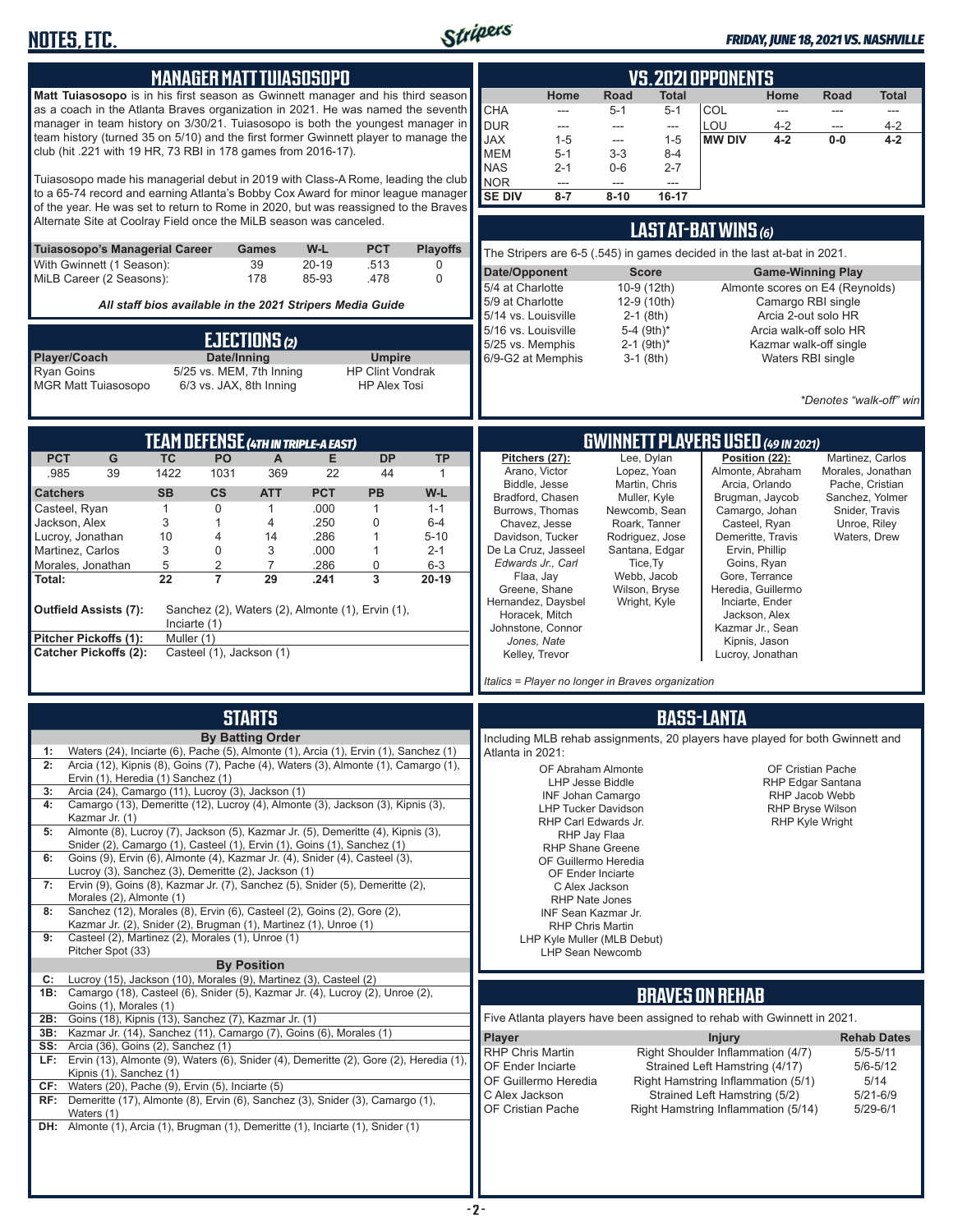

#### *FRIDAY, JUNE 18, 2021 VS. NASHVILLE*

| <b>MANAGER MATT TUIASOSOPO</b>                                                                                                                                                          | <b>VS. 2021 OPPONENTS</b>                                                                                              |
|-----------------------------------------------------------------------------------------------------------------------------------------------------------------------------------------|------------------------------------------------------------------------------------------------------------------------|
| <b>Matt Tuiasosopo</b> is in his first season as Gwinnett manager and his third season                                                                                                  | Road<br>Home<br><b>Total</b><br>Home<br>Road<br>Total                                                                  |
| as a coach in the Atlanta Braves organization in 2021. He was named the seventh                                                                                                         | <b>CHA</b><br>COL<br>$5 - 1$<br>$5 - 1$<br>---<br>---<br>---<br>---                                                    |
| manager in team history on 3/30/21. Tuiasosopo is both the youngest manager in<br>team history (turned 35 on 5/10) and the first former Gwinnett player to manage the                   | <b>DUR</b><br>LOU<br>$4 - 2$<br>$4 - 2$<br>---<br>$\overline{\phantom{a}}$<br>---<br>---                               |
| club (hit .221 with 19 HR, 73 RBI in 178 games from 2016-17).                                                                                                                           | <b>JAX</b><br><b>MW DIV</b><br>$4 - 2$<br>$1 - 5$<br>$1 - 5$<br>$0-0$<br>$4 - 2$<br>---                                |
|                                                                                                                                                                                         | <b>MEM</b><br>$3 - 3$<br>$5-1$<br>$8 - 4$                                                                              |
| Tuiasosopo made his managerial debut in 2019 with Class-A Rome, leading the club                                                                                                        | <b>NAS</b><br>$2 - 1$<br>$0-6$<br>$2 - 7$                                                                              |
| to a 65-74 record and earning Atlanta's Bobby Cox Award for minor league manager                                                                                                        | <b>NOR</b><br>---<br>---<br>---<br><b>SE DIV</b><br>$8 - 7$<br>$8 - 10$<br>16-17                                       |
| of the year. He was set to return to Rome in 2020, but was reassigned to the Braves                                                                                                     |                                                                                                                        |
| Alternate Site at Coolray Field once the MiLB season was canceled.                                                                                                                      |                                                                                                                        |
|                                                                                                                                                                                         | LAST AT-BAT WINS (6)                                                                                                   |
| <b>PCT</b><br><b>Tuiasosopo's Managerial Career</b><br>W-L<br><b>Playoffs</b><br>Games                                                                                                  | The Stripers are 6-5 (.545) in games decided in the last at-bat in 2021.                                               |
| 39<br>With Gwinnett (1 Season):<br>$20 - 19$<br>.513<br>0                                                                                                                               | Date/Opponent<br><b>Score</b><br><b>Game-Winning Play</b>                                                              |
| MiLB Career (2 Seasons):<br>178<br>85-93<br>.478<br>$\Omega$                                                                                                                            | 5/4 at Charlotte<br>10-9 (12th)<br>Almonte scores on E4 (Reynolds)                                                     |
|                                                                                                                                                                                         | Camargo RBI single<br>5/9 at Charlotte<br>12-9 (10th)                                                                  |
| All staff bios available in the 2021 Stripers Media Guide                                                                                                                               | $2-1$ (8th)<br>Arcia 2-out solo HR<br>5/14 vs. Louisville                                                              |
|                                                                                                                                                                                         | 5-4 (9th)*<br>5/16 vs. Louisville<br>Arcia walk-off solo HR                                                            |
| <b>EJECTIONS (2)</b>                                                                                                                                                                    | $2-1$ (9th) <sup>*</sup><br>5/25 vs. Memphis<br>Kazmar walk-off single                                                 |
| Player/Coach<br>Date/Inning<br><b>Umpire</b>                                                                                                                                            | 6/9-G2 at Memphis<br>$3-1$ (8th)<br>Waters RBI single                                                                  |
| Ryan Goins<br>5/25 vs. MEM, 7th Inning<br><b>HP Clint Vondrak</b>                                                                                                                       |                                                                                                                        |
| 6/3 vs. JAX, 8th Inning<br><b>MGR Matt Tuiasosopo</b><br><b>HP Alex Tosi</b>                                                                                                            |                                                                                                                        |
|                                                                                                                                                                                         | *Denotes "walk-off" win                                                                                                |
|                                                                                                                                                                                         |                                                                                                                        |
|                                                                                                                                                                                         |                                                                                                                        |
| <b>TEAM DEFENSE (4TH IN TRIPLE-A EAST)</b>                                                                                                                                              | <b>GWINNETT PLAYERS USED (49 IN 2021)</b>                                                                              |
| <b>DP</b><br><b>PCT</b><br>G<br><b>TC</b><br>PO<br><b>TP</b><br>$\mathsf{A}$<br>Е                                                                                                       | Lee, Dylan<br>Position (22):<br>Pitchers (27):<br>Martinez, Carlos<br>Arano, Victor<br>Lopez, Yoan<br>Almonte, Abraham |
| .985<br>39<br>1422<br>1031<br>369<br>22<br>44<br>$\mathbf{1}$                                                                                                                           | Morales, Jonathan<br>Biddle, Jesse<br>Martin, Chris<br>Arcia, Orlando<br>Pache, Cristian                               |
| <b>SB</b><br>$\mathsf{cs}$<br><b>PCT</b><br><b>PB</b><br>W-L<br><b>Catchers</b><br><b>ATT</b>                                                                                           | Bradford, Chasen<br>Muller, Kyle<br>Brugman, Jaycob<br>Sanchez. Yolmer                                                 |
| 0<br>.000<br>Casteel, Ryan<br>$\mathbf{1}$<br>$\mathbf{1}$<br>1<br>$1 - 1$                                                                                                              | Burrows, Thomas<br>Newcomb, Sean<br>Camargo, Johan<br>Snider, Travis                                                   |
| .250<br>3<br>0<br>$6 - 4$<br>Jackson, Alex<br>4<br>1                                                                                                                                    | Roark, Tanner<br>Chavez, Jesse<br>Casteel, Ryan<br>Unroe, Riley                                                        |
| Lucroy, Jonathan<br>10<br>.286<br>4<br>14<br>1<br>$5 - 10$                                                                                                                              | Davidson, Tucker<br>Demeritte, Travis<br>Rodriguez, Jose<br>Waters, Drew                                               |
| Martinez, Carlos<br>3<br>3<br>.000<br>0<br>$2 - 1$<br>1                                                                                                                                 | De La Cruz, Jasseel<br>Ervin, Phillip<br>Santana, Edgar                                                                |
| 5<br>2<br>$\overline{7}$<br>0<br>$6 - 3$<br>Morales, Jonathan<br>.286<br>$\overline{22}$<br>$\overline{7}$<br>$\overline{\mathbf{3}}$                                                   | Edwards Jr., Carl<br>Goins, Ryan<br>Tice, Ty<br>Gore, Terrance<br>Flaa, Jay<br>Webb, Jacob                             |
| 29<br>$20-19$<br>.241<br>Total:                                                                                                                                                         | Wilson, Bryse<br>Heredia, Guillermo<br>Greene, Shane                                                                   |
|                                                                                                                                                                                         | Hernandez, Daysbel<br>Wright, Kyle<br>Inciarte, Ender                                                                  |
| <b>Outfield Assists (7):</b><br>Sanchez (2), Waters (2), Almonte (1), Ervin (1),                                                                                                        | Horacek, Mitch<br>Jackson, Alex                                                                                        |
| Inciarte (1)                                                                                                                                                                            | Johnstone, Connor<br>Kazmar Jr., Sean                                                                                  |
| Pitcher Pickoffs (1):<br>Muller (1)<br><b>Catcher Pickoffs (2):</b><br>Casteel (1), Jackson (1)                                                                                         | Jones, Nate<br>Kipnis, Jason                                                                                           |
|                                                                                                                                                                                         | Kelley, Trevor<br>Lucroy, Jonathan                                                                                     |
|                                                                                                                                                                                         | Italics = Player no longer in Braves organization                                                                      |
|                                                                                                                                                                                         |                                                                                                                        |
| <b>STARTS</b>                                                                                                                                                                           | <b>BASS-LANTA</b>                                                                                                      |
|                                                                                                                                                                                         |                                                                                                                        |
| <b>By Batting Order</b>                                                                                                                                                                 | Including MLB rehab assignments, 20 players have played for both Gwinnett and                                          |
| Waters (24), Inciarte (6), Pache (5), Almonte (1), Arcia (1), Ervin (1), Sanchez (1)<br>1:<br>Arcia (12), Kipnis (8), Goins (7), Pache (4), Waters (3), Almonte (1), Camargo (1),<br>2: | Atlanta in 2021:                                                                                                       |
| Ervin (1), Heredia (1) Sanchez (1)                                                                                                                                                      | OF Abraham Almonte<br>OF Cristian Pache                                                                                |
| Arcia (24), Camargo (11), Lucroy (3), Jackson (1)<br>3:                                                                                                                                 | <b>LHP Jesse Biddle</b><br>RHP Edgar Santana<br>RHP Jacob Webb                                                         |
| Camargo (13), Demeritte (12), Lucroy (4), Almonte (3), Jackson (3), Kipnis (3),<br>4:                                                                                                   | <b>INF Johan Camargo</b><br><b>RHP Bryse Wilson</b><br><b>LHP Tucker Davidson</b>                                      |
| Kazmar Jr. (1)                                                                                                                                                                          | RHP Carl Edwards Jr.<br><b>RHP Kyle Wright</b>                                                                         |
| Almonte (8), Lucroy (7), Jackson (5), Kazmar Jr. (5), Demeritte (4), Kipnis (3),<br>5:                                                                                                  | RHP Jay Flaa                                                                                                           |
| Snider (2), Camargo (1), Casteel (1), Ervin (1), Goins (1), Sanchez (1)                                                                                                                 | RHP Shane Greene                                                                                                       |
| Goins (9), Ervin (6), Almonte (4), Kazmar Jr. (4), Snider (4), Casteel (3),<br>6:<br>Lucroy (3), Sanchez (3), Demeritte (2), Jackson (1)                                                | OF Guillermo Heredia                                                                                                   |
| Ervin (9), Goins (8), Kazmar Jr. (7), Sanchez (5), Snider (5), Demeritte (2),<br>7:                                                                                                     | OF Ender Inciarte<br>C Alex Jackson                                                                                    |
| Morales (2), Almonte (1)                                                                                                                                                                | <b>RHP Nate Jones</b>                                                                                                  |
| Sanchez (12), Morales (8), Ervin (6), Casteel (2), Goins (2), Gore (2),<br>8:                                                                                                           | INF Sean Kazmar Jr.                                                                                                    |
| Kazmar Jr. (2), Snider (2), Brugman (1), Martinez (1), Unroe (1)                                                                                                                        | <b>RHP Chris Martin</b>                                                                                                |
| Casteel (2), Martinez (2), Morales (1), Unroe (1)<br>9:                                                                                                                                 | LHP Kyle Muller (MLB Debut)                                                                                            |
| Pitcher Spot (33)                                                                                                                                                                       | <b>LHP Sean Newcomb</b>                                                                                                |
| <b>By Position</b>                                                                                                                                                                      |                                                                                                                        |
| Lucroy (15), Jackson (10), Morales (9), Martinez (3), Casteel (2)<br>C:<br>1B: Camargo (18), Casteel (6), Snider (5), Kazmar Jr. (4), Lucroy (2), Unroe (2),                            |                                                                                                                        |
| Goins (1), Morales (1)                                                                                                                                                                  | <b>BRAVES ON REHAB</b>                                                                                                 |
| Goins (18), Kipnis (13), Sanchez (7), Kazmar Jr. (1)<br>2B:                                                                                                                             | Five Atlanta players have been assigned to rehab with Gwinnett in 2021.                                                |
| Kazmar Jr. (14), Sanchez (11), Camargo (7), Goins (6), Morales (1)<br>3B:                                                                                                               | Player<br><b>Rehab Dates</b><br><b>Injury</b>                                                                          |
| Arcia (36), Goins (2), Sanchez (1)<br>SS:                                                                                                                                               | RHP Chris Martin<br>Right Shoulder Inflammation (4/7)<br>$5/5 - 5/11$                                                  |
| LF: Ervin (13), Almonte (9), Waters (6), Snider (4), Demeritte (2), Gore (2), Heredia (1)                                                                                               | OF Ender Inciarte<br>Strained Left Hamstring (4/17)<br>$5/6 - 5/12$                                                    |
| Kipnis (1), Sanchez (1)                                                                                                                                                                 | OF Guillermo Heredia<br>Right Hamstring Inflammation (5/1)<br>5/14                                                     |
| CF: Waters (20), Pache (9), Ervin (5), Inciarte (5)                                                                                                                                     | C Alex Jackson<br>Strained Left Hamstring (5/2)<br>$5/21 - 6/9$                                                        |
| RF: Demeritte (17), Almonte (8), Ervin (6), Sanchez (3), Snider (3), Camargo (1),                                                                                                       | OF Cristian Pache<br>Right Hamstring Inflammation (5/14)<br>$5/29 - 6/1$                                               |
| Waters (1)<br><b>DH:</b> Almonte (1), Arcia (1), Brugman (1), Demeritte (1), Inciarte (1), Snider (1)                                                                                   |                                                                                                                        |
|                                                                                                                                                                                         |                                                                                                                        |
|                                                                                                                                                                                         |                                                                                                                        |
|                                                                                                                                                                                         |                                                                                                                        |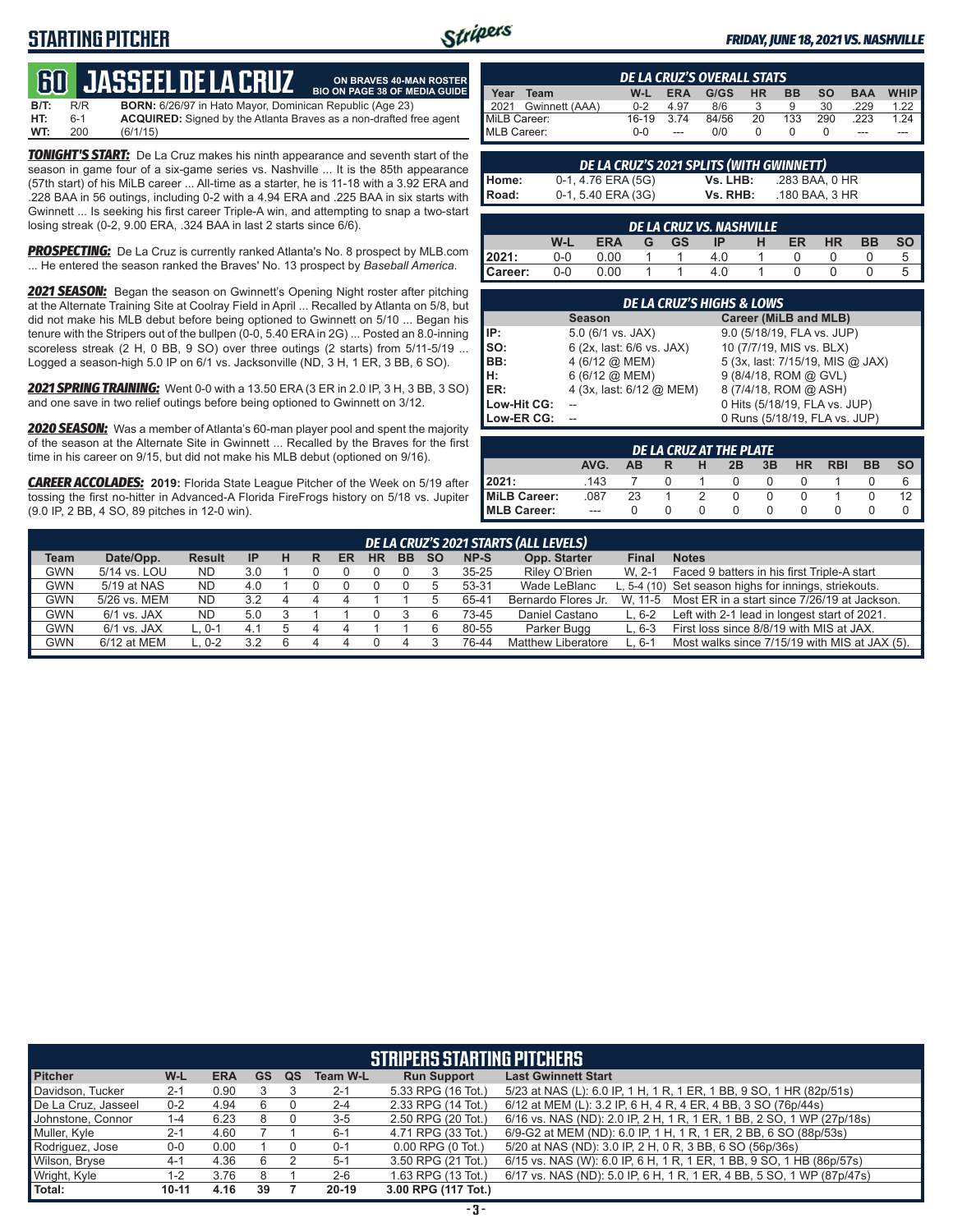## **STARTING PITCHER**



**ON BRAVES 40-MAN ROSTER**

#### *FRIDAY, JUNE 18, 2021 VS. NASHVILLE*

# **60****JASSEEL DE LA CRUZ**

**B/T:** R/R **BORN:** 6/26/97 in Hato Mayor, Dominican Republic (Age 23)<br>**HT:** 6-1 **ACQUIRED:** Signed by the Atlanta Braves as a non-drafted f **HT:** 6-1 **ACQUIRED:** Signed by the Atlanta Braves as a non-drafted free agent **WT:** 200 (6/1/15) **BIO ON PAGE 38 OF MEDIA GUIDE**

*TONIGHT'S START:* De La Cruz makes his ninth appearance and seventh start of the season in game four of a six-game series vs. Nashville ... It is the 85th appearance (57th start) of his MiLB career ... All-time as a starter, he is 11-18 with a 3.92 ERA and .228 BAA in 56 outings, including 0-2 with a 4.94 ERA and .225 BAA in six starts with Gwinnett ... Is seeking his first career Triple-A win, and attempting to snap a two-start losing streak (0-2, 9.00 ERA, .324 BAA in last 2 starts since 6/6).

**PROSPECTING:** De La Cruz is currently ranked Atlanta's No. 8 prospect by MLB.com ... He entered the season ranked the Braves' No. 13 prospect by *Baseball America*.

*2021 SEASON:* Began the season on Gwinnett's Opening Night roster after pitching at the Alternate Training Site at Coolray Field in April ... Recalled by Atlanta on 5/8, but did not make his MLB debut before being optioned to Gwinnett on 5/10 ... Began his tenure with the Stripers out of the bullpen (0-0, 5.40 ERA in 2G) ... Posted an 8.0-inning scoreless streak (2 H, 0 BB, 9 SO) over three outings (2 starts) from 5/11-5/19 ... Logged a season-high 5.0 IP on 6/1 vs. Jacksonville (ND, 3 H, 1 ER, 3 BB, 6 SO).

*2021 SPRING TRAINING:* Went 0-0 with a 13.50 ERA (3 ER in 2.0 IP, 3 H, 3 BB, 3 SO) and one save in two relief outings before being optioned to Gwinnett on 3/12.

*2020 SEASON:* Was a member of Atlanta's 60-man player pool and spent the majority of the season at the Alternate Site in Gwinnett ... Recalled by the Braves for the first time in his career on 9/15, but did not make his MLB debut (optioned on 9/16).

*CAREER ACCOLADES:* **2019:** Florida State League Pitcher of the Week on 5/19 after tossing the first no-hitter in Advanced-A Florida FireFrogs history on 5/18 vs. Jupiter (9.0 IP, 2 BB, 4 SO, 89 pitches in 12-0 win).

|                     | <b>DE LA CRUZ'S OVERALL STATS</b> |         |            |       |           |           |           |            |      |  |  |
|---------------------|-----------------------------------|---------|------------|-------|-----------|-----------|-----------|------------|------|--|--|
| Year                | Team                              | W-L     | <b>ERA</b> | G/GS  | <b>HR</b> | <b>BB</b> | <b>SO</b> | <b>BAA</b> | WHIP |  |  |
| $\blacksquare$ 2021 | Gwinnett (AAA)                    | $0 - 2$ | 4.97       | 8/6   |           | 9         | 30        | 229        | 1.22 |  |  |
| MiLB Career:        |                                   | $16-19$ | 374        | 84/56 | 20        | 133       | 290       | 223        | 1.24 |  |  |
| MLB Career:         |                                   | $0 - 0$ | $---$      | 0/0   |           |           |           | ---        | ---  |  |  |

|       | DE LA CRUZ'S 2021 SPLITS (WITH GWINNETT) |          |                |  |  |  |  |  |  |  |  |
|-------|------------------------------------------|----------|----------------|--|--|--|--|--|--|--|--|
| Home: | 0-1, 4.76 ERA (5G)                       | Vs. LHB: | .283 BAA. 0 HR |  |  |  |  |  |  |  |  |
| Road: | 0-1, 5.40 ERA (3G)                       | Vs. RHB: | .180 BAA, 3 HR |  |  |  |  |  |  |  |  |

| DE LA CRUZ VS. NASHVILLE |     |      |  |           |    |   |    |           |           |           |  |
|--------------------------|-----|------|--|-----------|----|---|----|-----------|-----------|-----------|--|
|                          | W-L | ERA  |  | <b>GS</b> | ΙP | н | ER | <b>HR</b> | <b>BB</b> | <b>SO</b> |  |
| 2021:                    | 0-0 | 0.00 |  |           |    |   |    |           |           |           |  |
| Career:                  | 0-0 | 0.00 |  |           |    |   |    |           |           |           |  |

| <b>DE LA CRUZ'S HIGHS &amp; LOWS</b> |                             |                                  |  |  |  |  |  |  |  |  |
|--------------------------------------|-----------------------------|----------------------------------|--|--|--|--|--|--|--|--|
|                                      | <b>Season</b>               | Career (MiLB and MLB)            |  |  |  |  |  |  |  |  |
| IP:                                  | $5.0$ (6/1 vs. JAX)         | 9.0 (5/18/19, FLA vs. JUP)       |  |  |  |  |  |  |  |  |
| $\mathsf{Iso}:$                      | 6 (2x, last: 6/6 vs. JAX)   | 10 (7/7/19, MIS vs. BLX)         |  |  |  |  |  |  |  |  |
| BB:                                  | 4 (6/12 $@$ MEM)            | 5 (3x, last: 7/15/19, MIS @ JAX) |  |  |  |  |  |  |  |  |
| Iн:                                  | $6(6/12)$ ( $\Omega$ ) MEM) | 9 (8/4/18, ROM @ GVL)            |  |  |  |  |  |  |  |  |
| <b>IER:</b>                          | 4 (3x, last: 6/12 @ MEM)    | 8 (7/4/18, ROM @ ASH)            |  |  |  |  |  |  |  |  |
| Low-Hit CG:                          |                             | 0 Hits (5/18/19, FLA vs. JUP)    |  |  |  |  |  |  |  |  |
| Low-ER CG:                           |                             | 0 Runs (5/18/19, FLA vs. JUP)    |  |  |  |  |  |  |  |  |

| DE LA CRUZ AT THE PLATE |         |    |  |   |    |    |           |            |           |           |
|-------------------------|---------|----|--|---|----|----|-----------|------------|-----------|-----------|
|                         | AVG.    | ΔR |  | н | 2B | 3B | <b>HR</b> | <b>RBI</b> | <b>BB</b> | <b>SO</b> |
| 2021:                   | .143    |    |  |   |    |    |           |            |           | 6         |
| MiLB Career:            | .087    | 23 |  |   |    |    |           |            |           | 12        |
| <b>IMLB Career:</b>     | $- - -$ |    |  |   |    |    |           |            |           |           |

|             | DE LA CRUZ'S 2021 STARTS (ALL LEVELS) |               |           |   |   |    |           |           |           |           |                     |              |                                                       |
|-------------|---------------------------------------|---------------|-----------|---|---|----|-----------|-----------|-----------|-----------|---------------------|--------------|-------------------------------------------------------|
| <b>Team</b> | Date/Opp.                             | <b>Result</b> | <b>IP</b> | н | R | ER | <b>HR</b> | <b>BB</b> | <b>SO</b> | NP-S      | Opp. Starter        | <b>Final</b> | <b>Notes</b>                                          |
| <b>GWN</b>  | 5/14 vs. LOU                          | ND.           | 3.0       |   |   |    |           |           |           | $35 - 25$ | Riley O'Brien       | W. 2-1       | Faced 9 batters in his first Triple-A start           |
| <b>GWN</b>  | 5/19 at NAS                           | ND.           | 4.0       |   |   |    |           |           |           | 53-31     | Wade LeBlanc        |              | L, 5-4 (10) Set season highs for innings, striekouts. |
| <b>GWN</b>  | 5/26 vs. MEM                          | <b>ND</b>     | 3.2       |   |   |    |           |           |           | 65-41     | Bernardo Flores Jr. | W. 11-5      | Most ER in a start since 7/26/19 at Jackson.          |
| <b>GWN</b>  | 6/1 vs. JAX                           | <b>ND</b>     | 5.0       |   |   |    |           |           |           | 73-45     | Daniel Castano      | L, 6-2       | Left with 2-1 lead in longest start of 2021.          |
| <b>GWN</b>  | 6/1 vs. JAX                           | $L.0 - 1$     | 4.1       |   |   |    |           |           |           | 80-55     | Parker Bugg         | $L.6-3$      | First loss since 8/8/19 with MIS at JAX.              |
| <b>GWN</b>  | 6/12 at MEM                           | 0-2           |           |   |   |    |           |           |           | 76-44     | Matthew Liberatore  | L. 6-1       | Most walks since 7/15/19 with MIS at JAX (5).         |
|             |                                       |               |           |   |   |    |           |           |           |           |                     |              |                                                       |

| <b>STRIPERS STARTING PITCHERS</b> |           |            |    |    |                 |                       |                                                                       |  |  |  |  |
|-----------------------------------|-----------|------------|----|----|-----------------|-----------------------|-----------------------------------------------------------------------|--|--|--|--|
| <b>Pitcher</b>                    | W-L       | <b>ERA</b> | GS | QS | <b>Team W-L</b> | <b>Run Support</b>    | <b>Last Gwinnett Start</b>                                            |  |  |  |  |
| Davidson, Tucker                  | $2 - 1$   | 0.90       |    |    | $2 - 1$         | 5.33 RPG (16 Tot.)    | 5/23 at NAS (L): 6.0 IP, 1 H, 1 R, 1 ER, 1 BB, 9 SO, 1 HR (82p/51s)   |  |  |  |  |
| De La Cruz, Jasseel               | $0 - 2$   | 4.94       |    |    | $2 - 4$         | 2.33 RPG (14 Tot.)    | 6/12 at MEM (L): 3.2 IP, 6 H, 4 R, 4 ER, 4 BB, 3 SO (76p/44s)         |  |  |  |  |
| Johnstone, Connor                 | 1-4       | 6.23       |    |    | $3 - 5$         | 2.50 RPG (20 Tot.)    | 6/16 vs. NAS (ND): 2.0 IP, 2 H, 1 R, 1 ER, 1 BB, 2 SO, 1 WP (27p/18s) |  |  |  |  |
| Muller, Kyle                      | $2 - 1$   | 4.60       |    |    | $6 - 1$         | 4.71 RPG (33 Tot.)    | 6/9-G2 at MEM (ND): 6.0 IP, 1 H, 1 R, 1 ER, 2 BB, 6 SO (88p/53s)      |  |  |  |  |
| Rodriguez, Jose                   | $0-0$     | 0.00       |    |    | $0 - 1$         | $0.00$ RPG $(0$ Tot.) | 5/20 at NAS (ND): 3.0 IP, 2 H, 0 R, 3 BB, 6 SO (56p/36s)              |  |  |  |  |
| Wilson, Bryse                     | $4 - 1$   | 4.36       | 6  |    | $5 - 1$         | 3.50 RPG (21 Tot.)    | 6/15 vs. NAS (W): 6.0 IP, 6 H, 1 R, 1 ER, 1 BB, 9 SO, 1 HB (86p/57s)  |  |  |  |  |
| Wright, Kyle                      | 1-2       | 3.76       |    |    | $2 - 6$         | 1.63 RPG (13 Tot.)    | 6/17 vs. NAS (ND): 5.0 IP, 6 H, 1 R, 1 ER, 4 BB, 5 SO, 1 WP (87p/47s) |  |  |  |  |
| Total:                            | $10 - 11$ | 4.16       | 39 |    | $20 - 19$       | 3.00 RPG (117 Tot.)   |                                                                       |  |  |  |  |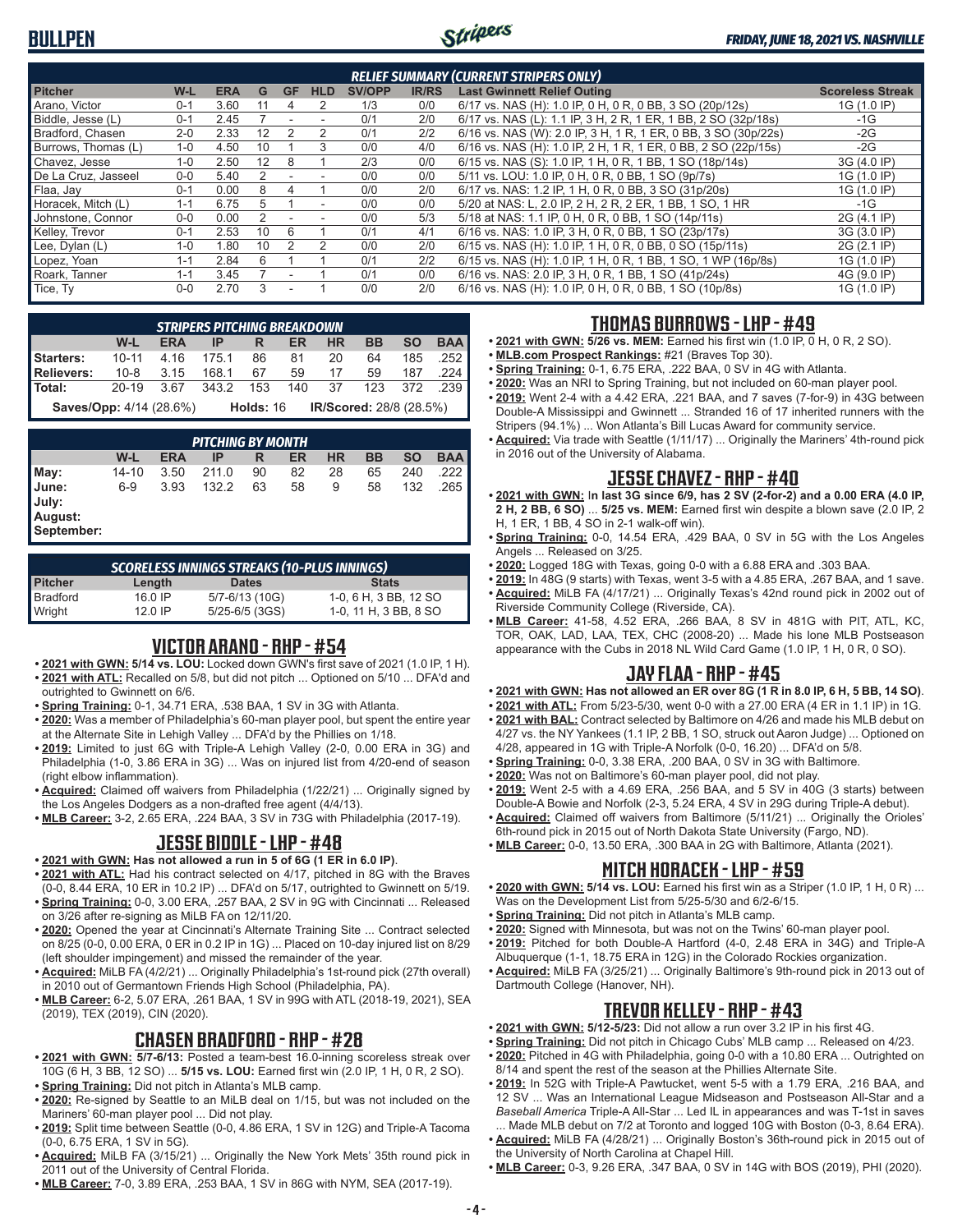## **BULLPEN**



| <b>RELIEF SUMMARY (CURRENT STRIPERS ONLY)</b> |         |            |    |           |                          |               |              |                                                                |                         |  |
|-----------------------------------------------|---------|------------|----|-----------|--------------------------|---------------|--------------|----------------------------------------------------------------|-------------------------|--|
| <b>Pitcher</b>                                | W-L     | <b>ERA</b> | G  | <b>GF</b> | <b>HLD</b>               | <b>SV/OPP</b> | <b>IR/RS</b> | <b>Last Gwinnett Relief Outing</b>                             | <b>Scoreless Streak</b> |  |
| Arano, Victor                                 | $0 - 1$ | 3.60       |    | 4         | 2                        | 1/3           | 0/0          | 6/17 vs. NAS (H): 1.0 IP, 0 H, 0 R, 0 BB, 3 SO (20p/12s)       | 1G (1.0 IP)             |  |
| Biddle, Jesse (L)                             | $0 - 1$ | 2.45       |    |           |                          | 0/1           | 2/0          | 6/17 vs. NAS (L): 1.1 IP, 3 H, 2 R, 1 ER, 1 BB, 2 SO (32p/18s) | -1G                     |  |
| Bradford, Chasen                              | $2 - 0$ | 2.33       | 12 |           | 2                        | 0/1           | 2/2          | 6/16 vs. NAS (W): 2.0 IP, 3 H, 1 R, 1 ER, 0 BB, 3 SO (30p/22s) | $-2G$                   |  |
| Burrows. Thomas (L)                           | $1 - 0$ | 4.50       | 10 |           | 3                        | 0/0           | 4/0          | 6/16 vs. NAS (H): 1.0 IP, 2 H, 1 R, 1 ER, 0 BB, 2 SO (22p/15s) | $-2G$                   |  |
| Chavez, Jesse                                 | $1 - 0$ | 2.50       | 12 | 8         |                          | 2/3           | 0/0          | 6/15 vs. NAS (S): 1.0 IP, 1 H, 0 R, 1 BB, 1 SO (18p/14s)       | 3G (4.0 IP)             |  |
| De La Cruz, Jasseel                           | $0 - 0$ | 5.40       | 2  |           |                          | 0/0           | 0/0          | 5/11 vs. LOU: 1.0 IP, 0 H, 0 R, 0 BB, 1 SO (9p/7s)             | 1G (1.0 IP)             |  |
| Flaa, Jay                                     | $0 - 1$ | 0.00       | 8  | 4         |                          | 0/0           | 2/0          | 6/17 vs. NAS: 1.2 IP, 1 H, 0 R, 0 BB, 3 SO (31p/20s)           | 1G (1.0 IP)             |  |
| Horacek, Mitch (L)                            | $1 - 1$ | 6.75       | 5  |           | $\overline{\phantom{a}}$ | 0/0           | 0/0          | 5/20 at NAS: L, 2.0 IP, 2 H, 2 R, 2 ER, 1 BB, 1 SO, 1 HR       | $-1G$                   |  |
| Johnstone, Connor                             | $0-0$   | 0.00       |    |           |                          | 0/0           | 5/3          | 5/18 at NAS: 1.1 IP, 0 H, 0 R, 0 BB, 1 SO (14p/11s)            | 2G (4.1 IP)             |  |
| Kelley, Trevor                                | $0 - 1$ | 2.53       | 10 | 6         |                          | 0/1           | 4/1          | 6/16 vs. NAS: 1.0 IP, 3 H, 0 R, 0 BB, 1 SO (23p/17s)           | 3G (3.0 IP)             |  |
| Lee, Dylan (L)                                | $1 - 0$ | 0.80       | 10 |           | 2                        | 0/0           | 2/0          | 6/15 vs. NAS (H): 1.0 IP, 1 H, 0 R, 0 BB, 0 SO (15p/11s)       | 2G (2.1 IP)             |  |
| Lopez, Yoan                                   | $1 - 1$ | 2.84       | 6  |           |                          | 0/1           | 2/2          | 6/15 vs. NAS (H): 1.0 IP, 1 H, 0 R, 1 BB, 1 SO, 1 WP (16p/8s)  | 1G (1.0 IP)             |  |
| Roark, Tanner                                 | $1 - 1$ | 3.45       |    |           |                          | 0/1           | 0/0          | 6/16 vs. NAS: 2.0 IP, 3 H, 0 R, 1 BB, 1 SO (41p/24s)           | 4G (9.0 IP)             |  |
| Tice, Ty                                      | $0-0$   | 2.70       | 3  |           |                          | 0/0           | 2/0          | 6/16 vs. NAS (H): 1.0 IP, 0 H, 0 R, 0 BB, 1 SO (10p/8s)        | 1G (1.0 IP)             |  |

|                                                                                                                  | <b>STRIPERS PITCHING BREAKDOWN</b> |  |                                                           |  |  |  |  |  |  |  |  |  |
|------------------------------------------------------------------------------------------------------------------|------------------------------------|--|-----------------------------------------------------------|--|--|--|--|--|--|--|--|--|
|                                                                                                                  | W-L                                |  | ERA IP R ER HR BB SO BAA                                  |  |  |  |  |  |  |  |  |  |
| <b>Starters:</b> 10-11 4.16 175.1 86 81 20 64 185 .252<br><b>Relievers:</b> 10-8 3.15 168.1 67 59 17 59 187 .224 |                                    |  |                                                           |  |  |  |  |  |  |  |  |  |
|                                                                                                                  |                                    |  |                                                           |  |  |  |  |  |  |  |  |  |
| Total: 20-19 3.67 343.2 153 140 37 123 372 .239                                                                  |                                    |  |                                                           |  |  |  |  |  |  |  |  |  |
|                                                                                                                  |                                    |  | Saves/Opp: 4/14 (28.6%) Holds: 16 IR/Scored: 28/8 (28.5%) |  |  |  |  |  |  |  |  |  |

|                                         | PITCHING BY MONTH |            |       |    |    |           |    |           |            |  |  |  |
|-----------------------------------------|-------------------|------------|-------|----|----|-----------|----|-----------|------------|--|--|--|
|                                         | W-L               | <b>ERA</b> | IP    | R  | ER | <b>HR</b> | ВB | <b>SO</b> | <b>BAA</b> |  |  |  |
| May:                                    | 14-10             | 3.50       | 211.0 | 90 | 82 | 28        | 65 | 240       | 222        |  |  |  |
| June:<br>July:<br>August:<br>September: | $6-9$             | 3.93       | 132.2 | 63 | 58 | 9         | 58 | 132       | 265        |  |  |  |

| SCORELESS INNINGS STREAKS (10-PLUS INNINGS) |         |                    |                       |  |  |  |  |  |  |  |
|---------------------------------------------|---------|--------------------|-----------------------|--|--|--|--|--|--|--|
| <b>Pitcher</b>                              | Length  | <b>Dates</b>       | <b>Stats</b>          |  |  |  |  |  |  |  |
| Bradford                                    | 16 0 IP | 5/7-6/13 (10G)     | 1-0, 6 H, 3 BB, 12 SO |  |  |  |  |  |  |  |
| Wright                                      | 12.0 IP | $5/25 - 6/5$ (3GS) | 1-0, 11 H, 3 BB, 8 SO |  |  |  |  |  |  |  |

### **VICTOR ARANO - RHP - #54**

- **• 2021 with GWN: 5/14 vs. LOU:** Locked down GWN's first save of 2021 (1.0 IP, 1 H). **• 2021 with ATL:** Recalled on 5/8, but did not pitch ... Optioned on 5/10 ... DFA'd and outrighted to Gwinnett on 6/6.
- **• Spring Training:** 0-1, 34.71 ERA, .538 BAA, 1 SV in 3G with Atlanta.
- **• 2020:** Was a member of Philadelphia's 60-man player pool, but spent the entire year at the Alternate Site in Lehigh Valley ... DFA'd by the Phillies on 1/18.
- **• 2019:** Limited to just 6G with Triple-A Lehigh Valley (2-0, 0.00 ERA in 3G) and Philadelphia (1-0, 3.86 ERA in 3G) ... Was on injured list from 4/20-end of season (right elbow inflammation).
- **• Acquired:** Claimed off waivers from Philadelphia (1/22/21) ... Originally signed by the Los Angeles Dodgers as a non-drafted free agent (4/4/13).
- **• MLB Career:** 3-2, 2.65 ERA, .224 BAA, 3 SV in 73G with Philadelphia (2017-19).

### **JESSE BIDDLE - LHP - #48**

#### **• 2021 with GWN: Has not allowed a run in 5 of 6G (1 ER in 6.0 IP)**.

- **• 2021 with ATL:** Had his contract selected on 4/17, pitched in 8G with the Braves (0-0, 8.44 ERA, 10 ER in 10.2 IP) ... DFA'd on 5/17, outrighted to Gwinnett on 5/19.
- **• Spring Training:** 0-0, 3.00 ERA, .257 BAA, 2 SV in 9G with Cincinnati ... Released on 3/26 after re-signing as MiLB FA on 12/11/20.
- **• 2020:** Opened the year at Cincinnati's Alternate Training Site ... Contract selected on 8/25 (0-0, 0.00 ERA, 0 ER in 0.2 IP in 1G) ... Placed on 10-day injured list on 8/29 (left shoulder impingement) and missed the remainder of the year.
- **• Acquired:** MiLB FA (4/2/21) ... Originally Philadelphia's 1st-round pick (27th overall) in 2010 out of Germantown Friends High School (Philadelphia, PA).
- **• MLB Career:** 6-2, 5.07 ERA, .261 BAA, 1 SV in 99G with ATL (2018-19, 2021), SEA (2019), TEX (2019), CIN (2020).

## **CHASEN BRADFORD - RHP - #28**

- **• 2021 with GWN: 5/7-6/13:** Posted a team-best 16.0-inning scoreless streak over 10G (6 H, 3 BB, 12 SO) ... **5/15 vs. LOU:** Earned first win (2.0 IP, 1 H, 0 R, 2 SO).
- **• Spring Training:** Did not pitch in Atlanta's MLB camp. **• 2020:** Re-signed by Seattle to an MiLB deal on 1/15, but was not included on the
- Mariners' 60-man player pool ... Did not play. **• 2019:** Split time between Seattle (0-0, 4.86 ERA, 1 SV in 12G) and Triple-A Tacoma
- (0-0, 6.75 ERA, 1 SV in 5G).
- **• Acquired:** MiLB FA (3/15/21) ... Originally the New York Mets' 35th round pick in 2011 out of the University of Central Florida.
- **• MLB Career:** 7-0, 3.89 ERA, .253 BAA, 1 SV in 86G with NYM, SEA (2017-19).

## **THOMAS BURROWS - LHP - #49**

- **• 2021 with GWN: 5/26 vs. MEM:** Earned his first win (1.0 IP, 0 H, 0 R, 2 SO).
- **• MLB.com Prospect Rankings:** #21 (Braves Top 30).
- **• Spring Training:** 0-1, 6.75 ERA, .222 BAA, 0 SV in 4G with Atlanta.
- **• 2020:** Was an NRI to Spring Training, but not included on 60-man player pool. **• 2019:** Went 2-4 with a 4.42 ERA, .221 BAA, and 7 saves (7-for-9) in 43G between
- Double-A Mississippi and Gwinnett ... Stranded 16 of 17 inherited runners with the Stripers (94.1%) ... Won Atlanta's Bill Lucas Award for community service.
- **• Acquired:** Via trade with Seattle (1/11/17) ... Originally the Mariners' 4th-round pick in 2016 out of the University of Alabama.

### **JESSE CHAVEZ - RHP - #40**

- **• 2021 with GWN:** I**n last 3G since 6/9, has 2 SV (2-for-2) and a 0.00 ERA (4.0 IP, 2 H, 2 BB, 6 SO)** ... **5/25 vs. MEM:** Earned first win despite a blown save (2.0 IP, 2 H, 1 ER, 1 BB, 4 SO in 2-1 walk-off win).
- **• Spring Training:** 0-0, 14.54 ERA, .429 BAA, 0 SV in 5G with the Los Angeles Angels ... Released on 3/25.
- **• 2020:** Logged 18G with Texas, going 0-0 with a 6.88 ERA and .303 BAA.
- **• 2019:** In 48G (9 starts) with Texas, went 3-5 with a 4.85 ERA, .267 BAA, and 1 save. **• Acquired:** MiLB FA (4/17/21) ... Originally Texas's 42nd round pick in 2002 out of
- Riverside Community College (Riverside, CA). **• MLB Career:** 41-58, 4.52 ERA, .266 BAA, 8 SV in 481G with PIT, ATL, KC, TOR, OAK, LAD, LAA, TEX, CHC (2008-20) ... Made his lone MLB Postseason appearance with the Cubs in 2018 NL Wild Card Game (1.0 IP, 1 H, 0 R, 0 SO).

## **JAY FLAA - RHP - #45**

- **• 2021 with GWN: Has not allowed an ER over 8G (1 R in 8.0 IP, 6 H, 5 BB, 14 SO)**.
- **• 2021 with ATL:** From 5/23-5/30, went 0-0 with a 27.00 ERA (4 ER in 1.1 IP) in 1G.
- **• 2021 with BAL:** Contract selected by Baltimore on 4/26 and made his MLB debut on 4/27 vs. the NY Yankees (1.1 IP, 2 BB, 1 SO, struck out Aaron Judge) ... Optioned on 4/28, appeared in 1G with Triple-A Norfolk (0-0, 16.20) ... DFA'd on 5/8.
- **• Spring Training:** 0-0, 3.38 ERA, .200 BAA, 0 SV in 3G with Baltimore.
- **• 2020:** Was not on Baltimore's 60-man player pool, did not play.
- **• 2019:** Went 2-5 with a 4.69 ERA, .256 BAA, and 5 SV in 40G (3 starts) between Double-A Bowie and Norfolk (2-3, 5.24 ERA, 4 SV in 29G during Triple-A debut).
- **• Acquired:** Claimed off waivers from Baltimore (5/11/21) ... Originally the Orioles' 6th-round pick in 2015 out of North Dakota State University (Fargo, ND).
- **• MLB Career:** 0-0, 13.50 ERA, .300 BAA in 2G with Baltimore, Atlanta (2021).

#### **MITCH HORACEK - LHP - #59**

- **• 2020 with GWN: 5/14 vs. LOU:** Earned his first win as a Striper (1.0 IP, 1 H, 0 R) ... Was on the Development List from 5/25-5/30 and 6/2-6/15.
- **• Spring Training:** Did not pitch in Atlanta's MLB camp.
- **• 2020:** Signed with Minnesota, but was not on the Twins' 60-man player pool.
- **• 2019:** Pitched for both Double-A Hartford (4-0, 2.48 ERA in 34G) and Triple-A Albuquerque (1-1, 18.75 ERA in 12G) in the Colorado Rockies organization.
- **• Acquired:** MiLB FA (3/25/21) ... Originally Baltimore's 9th-round pick in 2013 out of Dartmouth College (Hanover, NH).

#### **TREVOR KELLEY - RHP - #43**

- **• 2021 with GWN: 5/12-5/23:** Did not allow a run over 3.2 IP in his first 4G.
- **• Spring Training:** Did not pitch in Chicago Cubs' MLB camp ... Released on 4/23. **• 2020:** Pitched in 4G with Philadelphia, going 0-0 with a 10.80 ERA ... Outrighted on 8/14 and spent the rest of the season at the Phillies Alternate Site.
- **• 2019:** In 52G with Triple-A Pawtucket, went 5-5 with a 1.79 ERA, .216 BAA, and 12 SV ... Was an International League Midseason and Postseason All-Star and a *Baseball America* Triple-A All-Star ... Led IL in appearances and was T-1st in saves
- ... Made MLB debut on 7/2 at Toronto and logged 10G with Boston (0-3, 8.64 ERA). **• Acquired:** MiLB FA (4/28/21) ... Originally Boston's 36th-round pick in 2015 out of the University of North Carolina at Chapel Hill.
- **• MLB Career:** 0-3, 9.26 ERA, .347 BAA, 0 SV in 14G with BOS (2019), PHI (2020).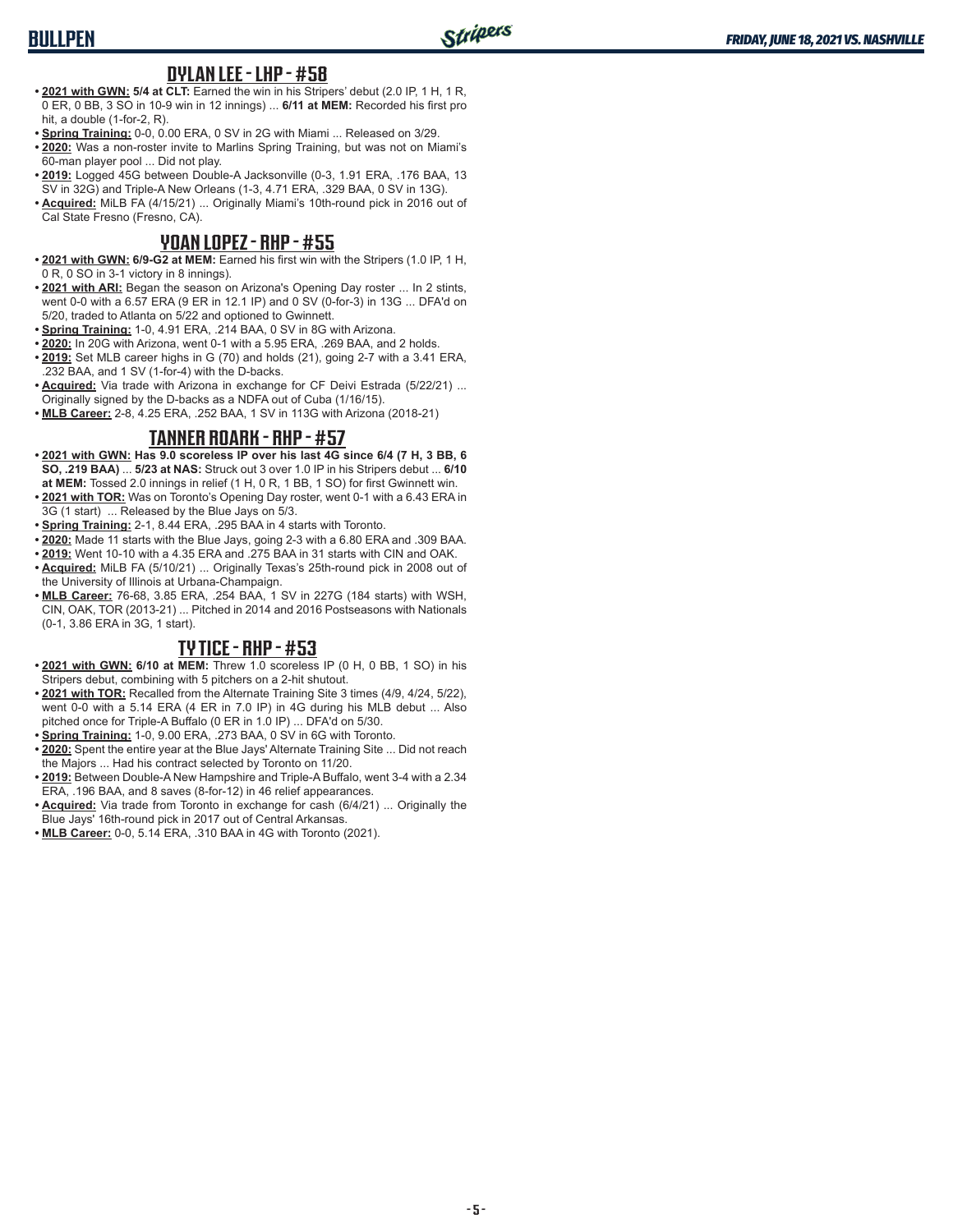## **BULLPEN**

#### **DYLAN LEE - LHP - #58**

- **• 2021 with GWN: 5/4 at CLT:** Earned the win in his Stripers' debut (2.0 IP, 1 H, 1 R, 0 ER, 0 BB, 3 SO in 10-9 win in 12 innings) ... **6/11 at MEM:** Recorded his first pro hit, a double (1-for-2, R).
- **• Spring Training:** 0-0, 0.00 ERA, 0 SV in 2G with Miami ... Released on 3/29.
- **• 2020:** Was a non-roster invite to Marlins Spring Training, but was not on Miami's 60-man player pool ... Did not play.
- **• 2019:** Logged 45G between Double-A Jacksonville (0-3, 1.91 ERA, .176 BAA, 13 SV in 32G) and Triple-A New Orleans (1-3, 4.71 ERA, .329 BAA, 0 SV in 13G).
- **• Acquired:** MiLB FA (4/15/21) ... Originally Miami's 10th-round pick in 2016 out of Cal State Fresno (Fresno, CA).

### **YOAN LOPEZ - RHP - #55**

- **• 2021 with GWN: 6/9-G2 at MEM:** Earned his first win with the Stripers (1.0 IP, 1 H, 0 R, 0 SO in 3-1 victory in 8 innings).
- **• 2021 with ARI:** Began the season on Arizona's Opening Day roster ... In 2 stints, went 0-0 with a 6.57 ERA (9 ER in 12.1 IP) and 0 SV (0-for-3) in 13G ... DFA'd on 5/20, traded to Atlanta on 5/22 and optioned to Gwinnett.
- **• Spring Training:** 1-0, 4.91 ERA, .214 BAA, 0 SV in 8G with Arizona.
- **• 2020:** In 20G with Arizona, went 0-1 with a 5.95 ERA, .269 BAA, and 2 holds.
- **• 2019:** Set MLB career highs in G (70) and holds (21), going 2-7 with a 3.41 ERA, .232 BAA, and 1 SV (1-for-4) with the D-backs.
- **• Acquired:** Via trade with Arizona in exchange for CF Deivi Estrada (5/22/21) ... Originally signed by the D-backs as a NDFA out of Cuba (1/16/15).
- **• MLB Career:** 2-8, 4.25 ERA, .252 BAA, 1 SV in 113G with Arizona (2018-21)

### **TANNER ROARK - RHP - #57**

- **• 2021 with GWN: Has 9.0 scoreless IP over his last 4G since 6/4 (7 H, 3 BB, 6 SO, .219 BAA)** ... **5/23 at NAS:** Struck out 3 over 1.0 IP in his Stripers debut ... **6/10 at MEM:** Tossed 2.0 innings in relief (1 H, 0 R, 1 BB, 1 SO) for first Gwinnett win.
- **• 2021 with TOR:** Was on Toronto's Opening Day roster, went 0-1 with a 6.43 ERA in 3G (1 start) ... Released by the Blue Jays on 5/3.
- **• Spring Training:** 2-1, 8.44 ERA, .295 BAA in 4 starts with Toronto.
- **• 2020:** Made 11 starts with the Blue Jays, going 2-3 with a 6.80 ERA and .309 BAA.
- **• 2019:** Went 10-10 with a 4.35 ERA and .275 BAA in 31 starts with CIN and OAK. **• Acquired:** MiLB FA (5/10/21) ... Originally Texas's 25th-round pick in 2008 out of
- the University of Illinois at Urbana-Champaign.
- **• MLB Career:** 76-68, 3.85 ERA, .254 BAA, 1 SV in 227G (184 starts) with WSH, CIN, OAK, TOR (2013-21) ... Pitched in 2014 and 2016 Postseasons with Nationals (0-1, 3.86 ERA in 3G, 1 start).

### **TY TICE - RHP - #53**

- **• 2021 with GWN: 6/10 at MEM:** Threw 1.0 scoreless IP (0 H, 0 BB, 1 SO) in his Stripers debut, combining with 5 pitchers on a 2-hit shutout.
- **• 2021 with TOR:** Recalled from the Alternate Training Site 3 times (4/9, 4/24, 5/22), went 0-0 with a 5.14 ERA (4 ER in 7.0 IP) in 4G during his MLB debut ... Also pitched once for Triple-A Buffalo (0 ER in 1.0 IP) ... DFA'd on 5/30.
- **• Spring Training:** 1-0, 9.00 ERA, .273 BAA, 0 SV in 6G with Toronto.
- **• 2020:** Spent the entire year at the Blue Jays' Alternate Training Site ... Did not reach the Majors ... Had his contract selected by Toronto on 11/20.
- **• 2019:** Between Double-A New Hampshire and Triple-A Buffalo, went 3-4 with a 2.34 ERA, .196 BAA, and 8 saves (8-for-12) in 46 relief appearances.
- **• Acquired:** Via trade from Toronto in exchange for cash (6/4/21) ... Originally the Blue Jays' 16th-round pick in 2017 out of Central Arkansas.
- **• MLB Career:** 0-0, 5.14 ERA, .310 BAA in 4G with Toronto (2021).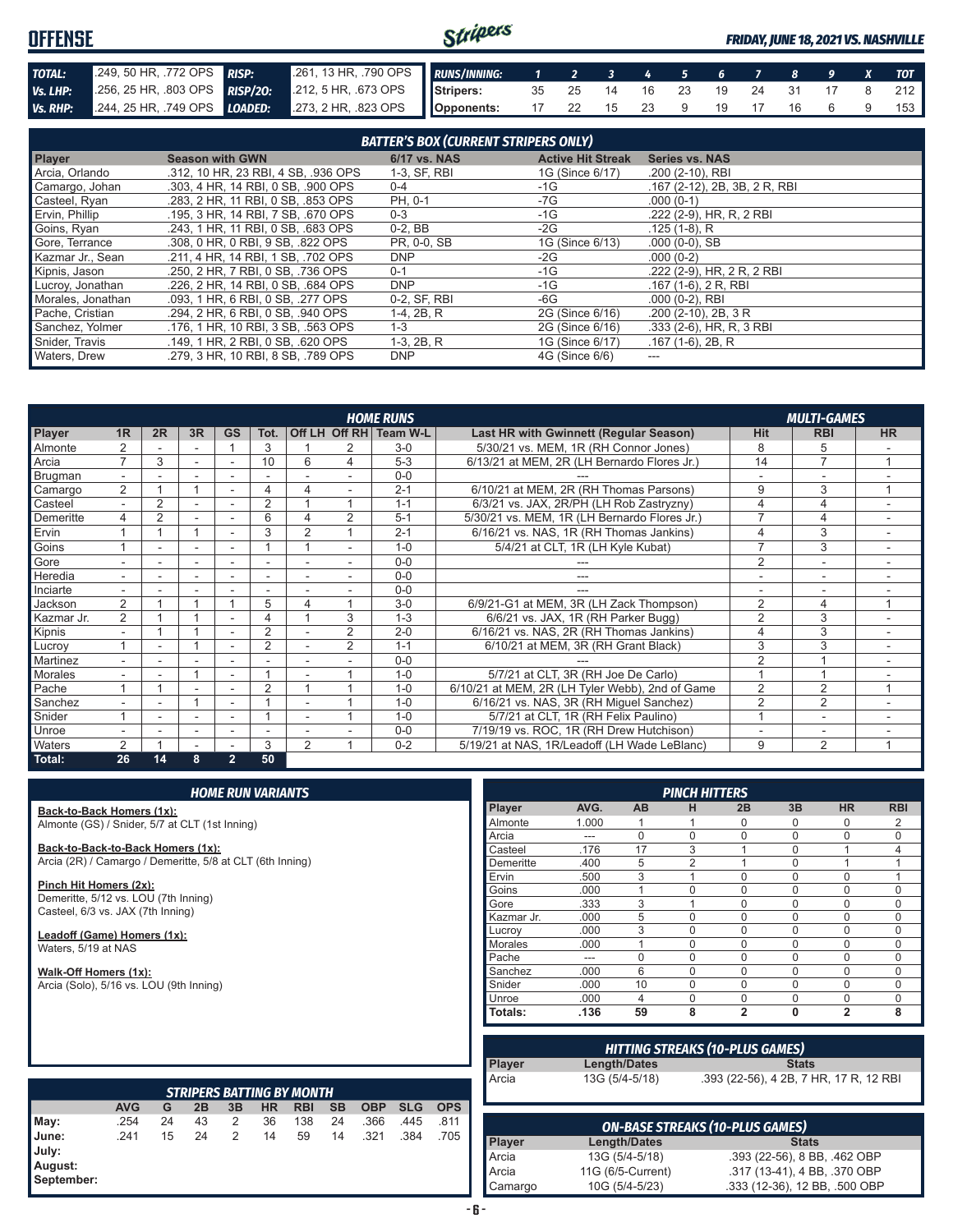#### Stripers **OFFENSE** *FRIDAY, JUNE 18, 2021 VS. NASHVILLE TOTAL:* .249, 50 HR, .772 OPS *RISP:* .261, 13 HR, .790 OPS *RUNS/INNING: 1 2 3 4 5 6 7 8 9 X TOT Vs. LHP:* .256, 25 HR, .803 OPS *RISP/2O:* .212, 5 HR, .673 OPS **Stripers:** 35 25 14 16 23 19 24 31 17 8 212 *Vs. RHP:* .244, 25 HR, .749 OPS *LOADED:* .273, 2 HR, .823 OPS **Opponents:** 17 22 15 23 9 19 17 16 6 9 153

| <b>BATTER'S BOX (CURRENT STRIPERS ONLY)</b> |                                     |              |                          |                              |  |
|---------------------------------------------|-------------------------------------|--------------|--------------------------|------------------------------|--|
| <b>Player</b>                               | <b>Season with GWN</b>              | 6/17 vs. NAS | <b>Active Hit Streak</b> | <b>Series vs. NAS</b>        |  |
| Arcia, Orlando                              | .312, 10 HR, 23 RBI, 4 SB, .936 OPS | 1-3, SF, RBI | 1G (Since 6/17)          | .200 (2-10), RBI             |  |
| Camargo, Johan                              | .303, 4 HR, 14 RBI, 0 SB, .900 OPS  | $0 - 4$      | -1G                      | .167 (2-12), 2B, 3B, 2R, RBI |  |
| Casteel, Ryan                               | .283, 2 HR, 11 RBI, 0 SB, .853 OPS  | PH, 0-1      | -7G                      | $.000(0-1)$                  |  |
| Ervin, Phillip                              | .195. 3 HR. 14 RBI. 7 SB. .670 OPS  | $0 - 3$      | $-1G$                    | .222 (2-9), HR, R, 2 RBI     |  |
| Goins, Ryan                                 | .243. 1 HR. 11 RBI. 0 SB. .683 OPS  | $0-2.$ BB    | -2G                      | $.125(1-8)$ . R              |  |
| Gore, Terrance                              | .308. 0 HR. 0 RBI. 9 SB. .822 OPS   | PR, 0-0, SB  | 1G (Since 6/13)          | $.000(0-0)$ , SB             |  |
| Kazmar Jr., Sean                            | .211, 4 HR, 14 RBI, 1 SB, .702 OPS  | <b>DNP</b>   | $-2G$                    | $.000(0-2)$                  |  |
| Kipnis, Jason                               | .250, 2 HR, 7 RBI, 0 SB, .736 OPS   | $0 - 1$      | $-1G$                    | .222 (2-9), HR, 2 R, 2 RBI   |  |
| Lucroy, Jonathan                            | .226, 2 HR, 14 RBI, 0 SB, .684 OPS  | <b>DNP</b>   | $-1G$                    | $.167(1-6), 2R, RBI$         |  |
| Morales, Jonathan                           | .093, 1 HR, 6 RBI, 0 SB, .277 OPS   | 0-2, SF, RBI | -6G                      | $.000(0-2)$ , RBI            |  |
| Pache, Cristian                             | .294. 2 HR. 6 RBI. 0 SB. .940 OPS   | 1-4, 2B, R   | 2G (Since 6/16)          | $.200$ (2-10), 2B, 3R        |  |
| Sanchez, Yolmer                             | .176. 1 HR. 10 RBI. 3 SB. .563 OPS  | $1 - 3$      | 2G (Since 6/16)          | $.333(2-6)$ , HR, R, 3 RBI   |  |
| Snider, Travis                              | .149, 1 HR, 2 RBI, 0 SB, .620 OPS   | $1-3, 2B, R$ | 1G (Since 6/17)          | $.167(1-6), 2B, R$           |  |
| Waters, Drew                                | .279. 3 HR. 10 RBI. 8 SB. .789 OPS  | DNP          | 4G (Since 6/6)           | ---                          |  |

|                |                          |                |                          |                          |                          |                |                | <b>HOME RUNS</b>       |                                                 |                | <b>MULTI-GAMES</b>       |           |
|----------------|--------------------------|----------------|--------------------------|--------------------------|--------------------------|----------------|----------------|------------------------|-------------------------------------------------|----------------|--------------------------|-----------|
| Player         | 1R                       | 2R             | 3R                       | <b>GS</b>                | Tot.                     |                |                | Off LH Off RH Team W-L | Last HR with Gwinnett (Regular Season)          | <b>Hit</b>     | <b>RBI</b>               | <b>HR</b> |
| Almonte        |                          |                |                          |                          | 3                        |                |                | $3-0$                  | 5/30/21 vs. MEM, 1R (RH Connor Jones)           | 8              | 5                        |           |
| Arcia          | $\overline{ }$           | 3              |                          |                          | 10                       | 6              | 4              | $5-3$                  | 6/13/21 at MEM, 2R (LH Bernardo Flores Jr.)     | 14             | $\overline{7}$           |           |
| <b>Brugman</b> |                          |                |                          |                          |                          |                |                | $0 - 0$                |                                                 |                |                          |           |
| Camargo        | 2                        |                |                          |                          | 4                        | Δ              |                | $2 - 1$                | 6/10/21 at MEM, 2R (RH Thomas Parsons)          | 9              | 3                        |           |
| Casteel        | $\overline{\phantom{0}}$ | $\overline{2}$ | $\sim$                   | $\sim$                   | 2                        |                | $\overline{A}$ | $1 - 1$                | 6/3/21 vs. JAX, 2R/PH (LH Rob Zastryzny)        | 4              | 4                        |           |
| Demeritte      | 4                        | 2              |                          |                          | 6                        | 4              | $\overline{2}$ | $5 - 1$                | 5/30/21 vs. MEM, 1R (LH Bernardo Flores Jr.)    |                | 4                        |           |
| Ervin          |                          |                | 4                        |                          | 3                        | $\overline{2}$ |                | $2 - 1$                | 6/16/21 vs. NAS, 1R (RH Thomas Jankins)         |                | 3                        |           |
| Goins          |                          |                |                          |                          |                          |                |                | $1 - 0$                | 5/4/21 at CLT, 1R (LH Kyle Kubat)               | $\overline{7}$ | 3                        |           |
| Gore           |                          | ۰              | $\overline{\phantom{a}}$ |                          | $\overline{\phantom{a}}$ |                |                | $0 - 0$                |                                                 | $\overline{2}$ | $\overline{\phantom{a}}$ |           |
| Heredia        |                          |                |                          |                          | ۰                        |                |                | $0 - 0$                |                                                 |                |                          |           |
| Inciarte       |                          |                |                          |                          |                          |                |                | $0 - 0$                |                                                 |                |                          |           |
| Jackson        | $\overline{2}$           |                |                          |                          | 5                        | 4              |                | $3-0$                  | 6/9/21-G1 at MEM, 3R (LH Zack Thompson)         | $\overline{2}$ | 4                        |           |
| Kazmar Jr.     | $\overline{2}$           |                |                          |                          | 4                        |                | 3              | $1 - 3$                | 6/6/21 vs. JAX, 1R (RH Parker Bugg)             | $\overline{2}$ | 3                        |           |
| Kipnis         | $\overline{\phantom{0}}$ |                |                          | $\overline{\phantom{a}}$ | $\overline{2}$           |                | $\overline{2}$ | $2 - 0$                | 6/16/21 vs. NAS, 2R (RH Thomas Jankins)         | 4              | 3                        | ۰         |
| Lucrov         |                          | ۰              |                          |                          | $\overline{2}$           |                | 2              | $1 - 1$                | 6/10/21 at MEM, 3R (RH Grant Black)             | 3              | 3                        |           |
| Martinez       |                          |                |                          |                          |                          |                |                | $0 - 0$                |                                                 | $\overline{2}$ |                          |           |
| <b>Morales</b> |                          |                |                          |                          |                          |                |                | $1 - 0$                | 5/7/21 at CLT, 3R (RH Joe De Carlo)             |                |                          |           |
| Pache          |                          |                |                          |                          | $\overline{2}$           |                |                | $1 - 0$                | 6/10/21 at MEM, 2R (LH Tyler Webb), 2nd of Game | $\overline{2}$ | $\overline{2}$           |           |
| Sanchez        |                          |                |                          |                          |                          |                |                | $1 - 0$                | 6/16/21 vs. NAS, 3R (RH Miguel Sanchez)         | $\overline{2}$ | $\overline{2}$           |           |
| Snider         |                          |                |                          |                          |                          |                |                | $1 - 0$                | 5/7/21 at CLT, 1R (RH Felix Paulino)            |                | $\overline{\phantom{a}}$ |           |
| Unroe          |                          |                | $\overline{\phantom{0}}$ | ۰                        | ٠                        |                |                | $0 - 0$                | 7/19/19 vs. ROC, 1R (RH Drew Hutchison)         |                | ۰                        |           |
| Waters         | 2                        |                |                          |                          | 3                        | $\overline{2}$ |                | $0 - 2$                | 5/19/21 at NAS, 1R/Leadoff (LH Wade LeBlanc)    | 9              | $\overline{2}$           |           |
| Total:         | 26                       | 14             | 8                        | $\overline{2}$           | 50                       |                |                |                        |                                                 |                |                          |           |

**Back-to-Back Homers (1x):** Almonte (GS) / Snider, 5/7 at CLT (1st Inning)

**Back-to-Back-to-Back Homers (1x):** Arcia (2R) / Camargo / Demeritte, 5/8 at CLT (6th Inning)

**Pinch Hit Homers (2x):** Demeritte, 5/12 vs. LOU (7th Inning) Casteel, 6/3 vs. JAX (7th Inning)

**Leadoff (Game) Homers (1x):** Waters, 5/19 at NAS

**Walk-Off Homers (1x):** Arcia (Solo), 5/16 vs. LOU (9th Inning)

|               |       |           | <b>PINCH HITTERS</b> |                |             |                |            |
|---------------|-------|-----------|----------------------|----------------|-------------|----------------|------------|
| <b>Player</b> | AVG.  | <b>AB</b> | н                    | 2B             | 3B          | <b>HR</b>      | <b>RBI</b> |
| Almonte       | 1.000 |           |                      | $\Omega$       | 0           | 0              | 2          |
| Arcia         | ---   | $\Omega$  | $\Omega$             | $\Omega$       | $\mathbf 0$ | $\Omega$       | $\Omega$   |
| Casteel       | .176  | 17        | 3                    |                | $\mathbf 0$ |                | 4          |
| Demeritte     | .400  | 5         | $\overline{2}$       | 4              | $\mathbf 0$ | 1              |            |
| Ervin         | .500  | 3         | 1                    | $\Omega$       | $\Omega$    | $\Omega$       |            |
| Goins         | .000  | 1         | $\Omega$             | $\Omega$       | $\Omega$    | 0              | $\Omega$   |
| Gore          | .333  | 3         | 1                    | $\Omega$       | $\mathbf 0$ | 0              | $\Omega$   |
| Kazmar Jr.    | .000  | 5         | $\Omega$             | $\Omega$       | $\Omega$    | $\Omega$       | $\Omega$   |
| Lucrov        | .000  | 3         | $\Omega$             | $\Omega$       | $\Omega$    | $\Omega$       | $\Omega$   |
| Morales       | .000  | 1         | $\Omega$             | $\Omega$       | $\Omega$    | $\Omega$       | $\Omega$   |
| Pache         | ---   | $\Omega$  | $\Omega$             | $\Omega$       | $\Omega$    | $\Omega$       | $\Omega$   |
| Sanchez       | .000  | 6         | $\Omega$             | $\Omega$       | $\Omega$    | 0              | $\Omega$   |
| Snider        | .000  | 10        | $\Omega$             | $\Omega$       | $\Omega$    | 0              | $\Omega$   |
| Unroe         | .000  | 4         | $\Omega$             | $\Omega$       | $\Omega$    | $\Omega$       | $\Omega$   |
| Totals:       | .136  | 59        | 8                    | $\overline{2}$ | $\bf{0}$    | $\overline{2}$ | 8          |

|            |               | <b>HITTING STREAKS (10-PLUS GAMES)</b> |                                        |  |  |  |  |
|------------|---------------|----------------------------------------|----------------------------------------|--|--|--|--|
|            | <b>Player</b> | Length/Dates                           | <b>Stats</b>                           |  |  |  |  |
|            | Arcia         | 13G (5/4-5/18)                         | .393 (22-56), 4 2B, 7 HR, 17 R, 12 RBI |  |  |  |  |
| <b>OPS</b> |               |                                        |                                        |  |  |  |  |
| 811        |               |                                        |                                        |  |  |  |  |

|                                         |            |    |    |    |           | <b>STRIPERS BATTING BY MONTH</b> |    |            |            |            |
|-----------------------------------------|------------|----|----|----|-----------|----------------------------------|----|------------|------------|------------|
|                                         | <b>AVG</b> | G  | 2B | 3B | <b>HR</b> | <b>RBI</b>                       | SΒ | <b>OBP</b> | <b>SLG</b> | <b>OPS</b> |
| May:                                    | .254       | 24 | 43 | 2  | 36        | 138                              | 24 | .366       | .445       | .811       |
| June:<br>July:<br>August:<br>September: | .241       | 15 | 24 | 2  | 14        | 59                               | 14 | .321       | .384       | .705       |

| <b>ON-BASE STREAKS (10-PLUS GAMES)</b> |                   |                               |  |  |  |
|----------------------------------------|-------------------|-------------------------------|--|--|--|
| <b>Player</b>                          | Length/Dates      | <b>Stats</b>                  |  |  |  |
| Arcia                                  | 13G (5/4-5/18)    | .393 (22-56), 8 BB, .462 OBP  |  |  |  |
| Arcia                                  | 11G (6/5-Current) | .317 (13-41), 4 BB, .370 OBP  |  |  |  |
| Camargo                                | 10G (5/4-5/23)    | .333 (12-36), 12 BB, .500 OBP |  |  |  |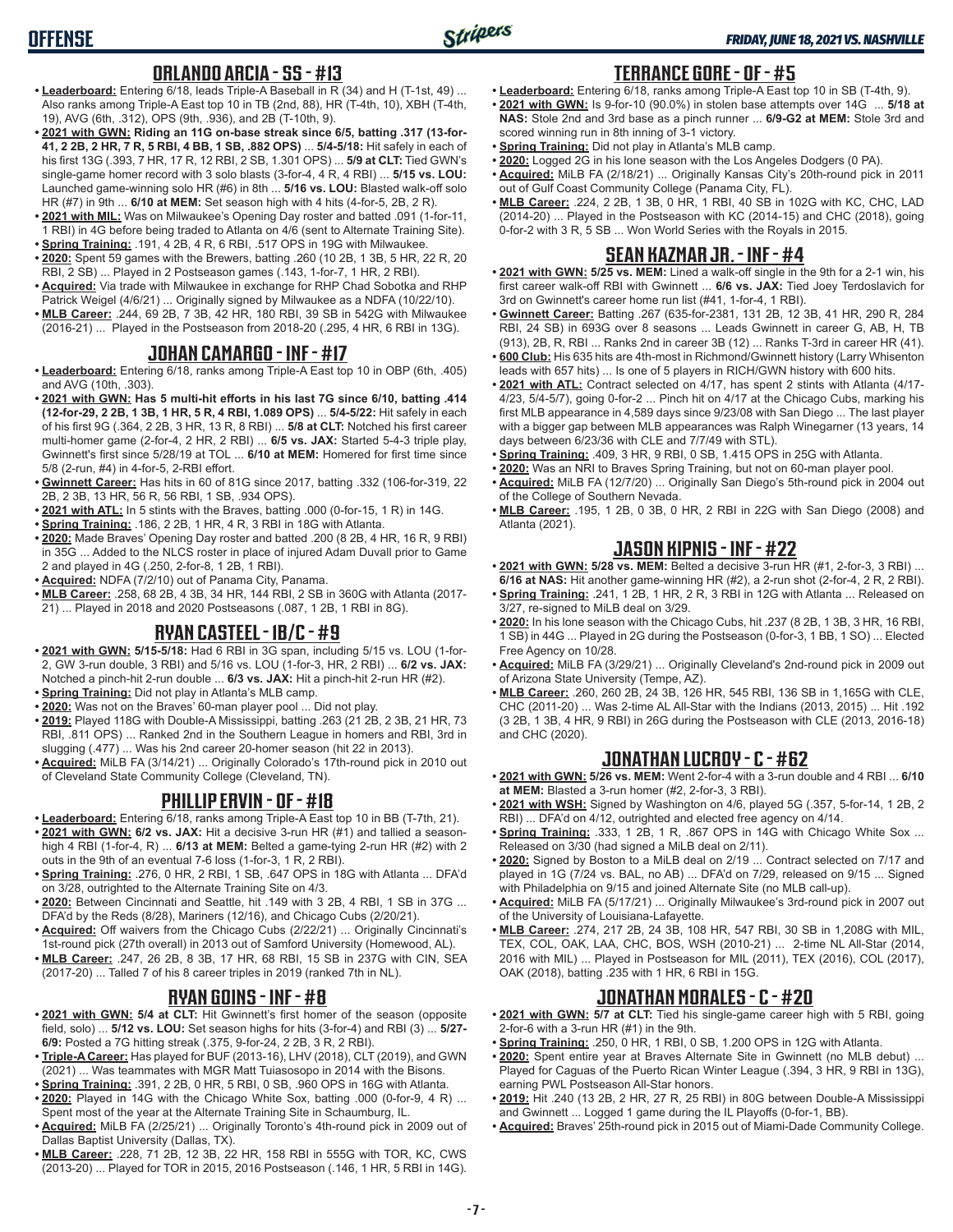### **ORLANDO ARCIA - SS - #13**

- **• Leaderboard:** Entering 6/18, leads Triple-A Baseball in R (34) and H (T-1st, 49) ... Also ranks among Triple-A East top 10 in TB (2nd, 88), HR (T-4th, 10), XBH (T-4th, 19), AVG (6th, .312), OPS (9th, .936), and 2B (T-10th, 9).
- **• 2021 with GWN: Riding an 11G on-base streak since 6/5, batting .317 (13-for-41, 2 2B, 2 HR, 7 R, 5 RBI, 4 BB, 1 SB, .882 OPS)** ... **5/4-5/18:** Hit safely in each of his first 13G (.393, 7 HR, 17 R, 12 RBI, 2 SB, 1.301 OPS) ... **5/9 at CLT:** Tied GWN's single-game homer record with 3 solo blasts (3-for-4, 4 R, 4 RBI) ... **5/15 vs. LOU:** Launched game-winning solo HR (#6) in 8th ... **5/16 vs. LOU:** Blasted walk-off solo HR (#7) in 9th ... **6/10 at MEM:** Set season high with 4 hits (4-for-5, 2B, 2 R).
- **• 2021 with MIL:** Was on Milwaukee's Opening Day roster and batted .091 (1-for-11, 1 RBI) in 4G before being traded to Atlanta on 4/6 (sent to Alternate Training Site).
- **• Spring Training:** .191, 4 2B, 4 R, 6 RBI, .517 OPS in 19G with Milwaukee. **• 2020:** Spent 59 games with the Brewers, batting .260 (10 2B, 1 3B, 5 HR, 22 R, 20
- RBI, 2 SB) ... Played in 2 Postseason games (.143, 1-for-7, 1 HR, 2 RBI). **• Acquired:** Via trade with Milwaukee in exchange for RHP Chad Sobotka and RHP
- Patrick Weigel (4/6/21) ... Originally signed by Milwaukee as a NDFA (10/22/10).
- **• MLB Career:** .244, 69 2B, 7 3B, 42 HR, 180 RBI, 39 SB in 542G with Milwaukee (2016-21) ... Played in the Postseason from 2018-20 (.295, 4 HR, 6 RBI in 13G).

## **JOHAN CAMARGO - INF - #17**

- **• Leaderboard:** Entering 6/18, ranks among Triple-A East top 10 in OBP (6th, .405) and AVG (10th, .303).
- **• 2021 with GWN: Has 5 multi-hit efforts in his last 7G since 6/10, batting .414 (12-for-29, 2 2B, 1 3B, 1 HR, 5 R, 4 RBI, 1.089 OPS)** ... **5/4-5/22:** Hit safely in each of his first 9G (.364, 2 2B, 3 HR, 13 R, 8 RBI) ... **5/8 at CLT:** Notched his first career multi-homer game (2-for-4, 2 HR, 2 RBI) ... **6/5 vs. JAX:** Started 5-4-3 triple play, Gwinnett's first since 5/28/19 at TOL ... **6/10 at MEM:** Homered for first time since 5/8 (2-run, #4) in 4-for-5, 2-RBI effort.
- **• Gwinnett Career:** Has hits in 60 of 81G since 2017, batting .332 (106-for-319, 22 2B, 2 3B, 13 HR, 56 R, 56 RBI, 1 SB, .934 OPS).
- **• 2021 with ATL:** In 5 stints with the Braves, batting .000 (0-for-15, 1 R) in 14G.
- **• Spring Training:** .186, 2 2B, 1 HR, 4 R, 3 RBI in 18G with Atlanta.
- **• 2020:** Made Braves' Opening Day roster and batted .200 (8 2B, 4 HR, 16 R, 9 RBI) in 35G ... Added to the NLCS roster in place of injured Adam Duvall prior to Game 2 and played in 4G (.250, 2-for-8, 1 2B, 1 RBI).
- **• Acquired:** NDFA (7/2/10) out of Panama City, Panama.
- **• MLB Career:** .258, 68 2B, 4 3B, 34 HR, 144 RBI, 2 SB in 360G with Atlanta (2017- 21) ... Played in 2018 and 2020 Postseasons (.087, 1 2B, 1 RBI in 8G).

## **RYAN CASTEEL - 1B/C - #9**

- **• 2021 with GWN: 5/15-5/18:** Had 6 RBI in 3G span, including 5/15 vs. LOU (1-for-2, GW 3-run double, 3 RBI) and 5/16 vs. LOU (1-for-3, HR, 2 RBI) ... **6/2 vs. JAX:** Notched a pinch-hit 2-run double ... **6/3 vs. JAX:** Hit a pinch-hit 2-run HR (#2).
- **• Spring Training:** Did not play in Atlanta's MLB camp.
- **• 2020:** Was not on the Braves' 60-man player pool ... Did not play.
- **• 2019:** Played 118G with Double-A Mississippi, batting .263 (21 2B, 2 3B, 21 HR, 73 RBI, .811 OPS) ... Ranked 2nd in the Southern League in homers and RBI, 3rd in slugging (.477) ... Was his 2nd career 20-homer season (hit 22 in 2013).
- **• Acquired:** MiLB FA (3/14/21) ... Originally Colorado's 17th-round pick in 2010 out of Cleveland State Community College (Cleveland, TN).

## **PHILLIP ERVIN - OF - #18**

- **• Leaderboard:** Entering 6/18, ranks among Triple-A East top 10 in BB (T-7th, 21).
- **• 2021 with GWN: 6/2 vs. JAX:** Hit a decisive 3-run HR (#1) and tallied a seasonhigh 4 RBI (1-for-4, R) ... **6/13 at MEM:** Belted a game-tying 2-run HR (#2) with 2 outs in the 9th of an eventual 7-6 loss (1-for-3, 1 R, 2 RBI).
- **• Spring Training:** .276, 0 HR, 2 RBI, 1 SB, .647 OPS in 18G with Atlanta ... DFA'd on 3/28, outrighted to the Alternate Training Site on 4/3.
- **• 2020:** Between Cincinnati and Seattle, hit .149 with 3 2B, 4 RBI, 1 SB in 37G ... DFA'd by the Reds (8/28), Mariners (12/16), and Chicago Cubs (2/20/21).
- **• Acquired:** Off waivers from the Chicago Cubs (2/22/21) ... Originally Cincinnati's 1st-round pick (27th overall) in 2013 out of Samford University (Homewood, AL).
- **• MLB Career:** .247, 26 2B, 8 3B, 17 HR, 68 RBI, 15 SB in 237G with CIN, SEA (2017-20) ... Talled 7 of his 8 career triples in 2019 (ranked 7th in NL).

### **RYAN GOINS - INF - #8**

- **• 2021 with GWN: 5/4 at CLT:** Hit Gwinnett's first homer of the season (opposite field, solo) ... **5/12 vs. LOU:** Set season highs for hits (3-for-4) and RBI (3) ... **5/27- 6/9:** Posted a 7G hitting streak (.375, 9-for-24, 2 2B, 3 R, 2 RBI).
- **• Triple-A Career:** Has played for BUF (2013-16), LHV (2018), CLT (2019), and GWN (2021) ... Was teammates with MGR Matt Tuiasosopo in 2014 with the Bisons.
- **• Spring Training:** .391, 2 2B, 0 HR, 5 RBI, 0 SB, .960 OPS in 16G with Atlanta.
- **• 2020:** Played in 14G with the Chicago White Sox, batting .000 (0-for-9, 4 R) ...
- Spent most of the year at the Alternate Training Site in Schaumburg, IL. **• Acquired:** MiLB FA (2/25/21) ... Originally Toronto's 4th-round pick in 2009 out of Dallas Baptist University (Dallas, TX).
- **• MLB Career:** .228, 71 2B, 12 3B, 22 HR, 158 RBI in 555G with TOR, KC, CWS (2013-20) ... Played for TOR in 2015, 2016 Postseason (.146, 1 HR, 5 RBI in 14G).

## **TERRANCE GORE - OF - #5**

- **• Leaderboard:** Entering 6/18, ranks among Triple-A East top 10 in SB (T-4th, 9). **• 2021 with GWN:** Is 9-for-10 (90.0%) in stolen base attempts over 14G ... **5/18 at NAS:** Stole 2nd and 3rd base as a pinch runner ... **6/9-G2 at MEM:** Stole 3rd and scored winning run in 8th inning of 3-1 victory.
- **• Spring Training:** Did not play in Atlanta's MLB camp.
- **• 2020:** Logged 2G in his lone season with the Los Angeles Dodgers (0 PA).
- **• Acquired:** MiLB FA (2/18/21) ... Originally Kansas City's 20th-round pick in 2011 out of Gulf Coast Community College (Panama City, FL).
- **• MLB Career:** .224, 2 2B, 1 3B, 0 HR, 1 RBI, 40 SB in 102G with KC, CHC, LAD (2014-20) ... Played in the Postseason with KC (2014-15) and CHC (2018), going 0-for-2 with 3 R, 5 SB ... Won World Series with the Royals in 2015.

## **SEAN KAZMAR JR. - INF - #4**

- **• 2021 with GWN: 5/25 vs. MEM:** Lined a walk-off single in the 9th for a 2-1 win, his first career walk-off RBI with Gwinnett ... **6/6 vs. JAX:** Tied Joey Terdoslavich for 3rd on Gwinnett's career home run list (#41, 1-for-4, 1 RBI).
- **• Gwinnett Career:** Batting .267 (635-for-2381, 131 2B, 12 3B, 41 HR, 290 R, 284 RBI, 24 SB) in 693G over 8 seasons ... Leads Gwinnett in career G, AB, H, TB (913), 2B, R, RBI ... Ranks 2nd in career 3B (12) ... Ranks T-3rd in career HR (41).
- **• 600 Club:** His 635 hits are 4th-most in Richmond/Gwinnett history (Larry Whisenton leads with 657 hits) ... Is one of 5 players in RICH/GWN history with 600 hits.
- **• 2021 with ATL:** Contract selected on 4/17, has spent 2 stints with Atlanta (4/17- 4/23, 5/4-5/7), going 0-for-2 ... Pinch hit on 4/17 at the Chicago Cubs, marking his first MLB appearance in 4,589 days since 9/23/08 with San Diego ... The last player with a bigger gap between MLB appearances was Ralph Winegarner (13 years, 14 days between 6/23/36 with CLE and 7/7/49 with STL).
- **• Spring Training:** .409, 3 HR, 9 RBI, 0 SB, 1.415 OPS in 25G with Atlanta.
- **• 2020:** Was an NRI to Braves Spring Training, but not on 60-man player pool.
- **• Acquired:** MiLB FA (12/7/20) ... Originally San Diego's 5th-round pick in 2004 out of the College of Southern Nevada.
- **• MLB Career:** .195, 1 2B, 0 3B, 0 HR, 2 RBI in 22G with San Diego (2008) and Atlanta (2021).

## **JASON KIPNIS - INF - #22**

- **• 2021 with GWN: 5/28 vs. MEM:** Belted a decisive 3-run HR (#1, 2-for-3, 3 RBI) ... **6/16 at NAS:** Hit another game-winning HR (#2), a 2-run shot (2-for-4, 2 R, 2 RBI).
- **• Spring Training:** .241, 1 2B, 1 HR, 2 R, 3 RBI in 12G with Atlanta ... Released on 3/27, re-signed to MiLB deal on 3/29.
- **• 2020:** In his lone season with the Chicago Cubs, hit .237 (8 2B, 1 3B, 3 HR, 16 RBI, 1 SB) in 44G ... Played in 2G during the Postseason (0-for-3, 1 BB, 1 SO) ... Elected Free Agency on 10/28.
- **• Acquired:** MiLB FA (3/29/21) ... Originally Cleveland's 2nd-round pick in 2009 out of Arizona State University (Tempe, AZ).
- **• MLB Career:** .260, 260 2B, 24 3B, 126 HR, 545 RBI, 136 SB in 1,165G with CLE, CHC (2011-20) ... Was 2-time AL All-Star with the Indians (2013, 2015) ... Hit .192 (3 2B, 1 3B, 4 HR, 9 RBI) in 26G during the Postseason with CLE (2013, 2016-18) and CHC (2020).

## **JONATHAN LUCROY - C - #62**

- **• 2021 with GWN: 5/26 vs. MEM:** Went 2-for-4 with a 3-run double and 4 RBI ... **6/10 at MEM:** Blasted a 3-run homer (#2, 2-for-3, 3 RBI).
- **• 2021 with WSH:** Signed by Washington on 4/6, played 5G (.357, 5-for-14, 1 2B, 2 RBI) ... DFA'd on 4/12, outrighted and elected free agency on 4/14.
- **• Spring Training:** .333, 1 2B, 1 R, .867 OPS in 14G with Chicago White Sox ... Released on 3/30 (had signed a MiLB deal on 2/11).
- **• 2020:** Signed by Boston to a MiLB deal on 2/19 ... Contract selected on 7/17 and played in 1G (7/24 vs. BAL, no AB) ... DFA'd on 7/29, released on 9/15 ... Signed with Philadelphia on 9/15 and joined Alternate Site (no MLB call-up).
- **• Acquired:** MiLB FA (5/17/21) ... Originally Milwaukee's 3rd-round pick in 2007 out of the University of Louisiana-Lafayette.
- **• MLB Career:** .274, 217 2B, 24 3B, 108 HR, 547 RBI, 30 SB in 1,208G with MIL, TEX, COL, OAK, LAA, CHC, BOS, WSH (2010-21) ... 2-time NL All-Star (2014, 2016 with MIL) ... Played in Postseason for MIL (2011), TEX (2016), COL (2017), OAK (2018), batting .235 with 1 HR, 6 RBI in 15G.

### **JONATHAN MORALES - C - #20**

- **• 2021 with GWN: 5/7 at CLT:** Tied his single-game career high with 5 RBI, going 2-for-6 with a 3-run HR (#1) in the 9th.
- **• Spring Training:** .250, 0 HR, 1 RBI, 0 SB, 1.200 OPS in 12G with Atlanta.
- **• 2020:** Spent entire year at Braves Alternate Site in Gwinnett (no MLB debut) ... Played for Caguas of the Puerto Rican Winter League (.394, 3 HR, 9 RBI in 13G), earning PWL Postseason All-Star honors.
- **• 2019:** Hit .240 (13 2B, 2 HR, 27 R, 25 RBI) in 80G between Double-A Mississippi and Gwinnett ... Logged 1 game during the IL Playoffs (0-for-1, BB).
- **• Acquired:** Braves' 25th-round pick in 2015 out of Miami-Dade Community College.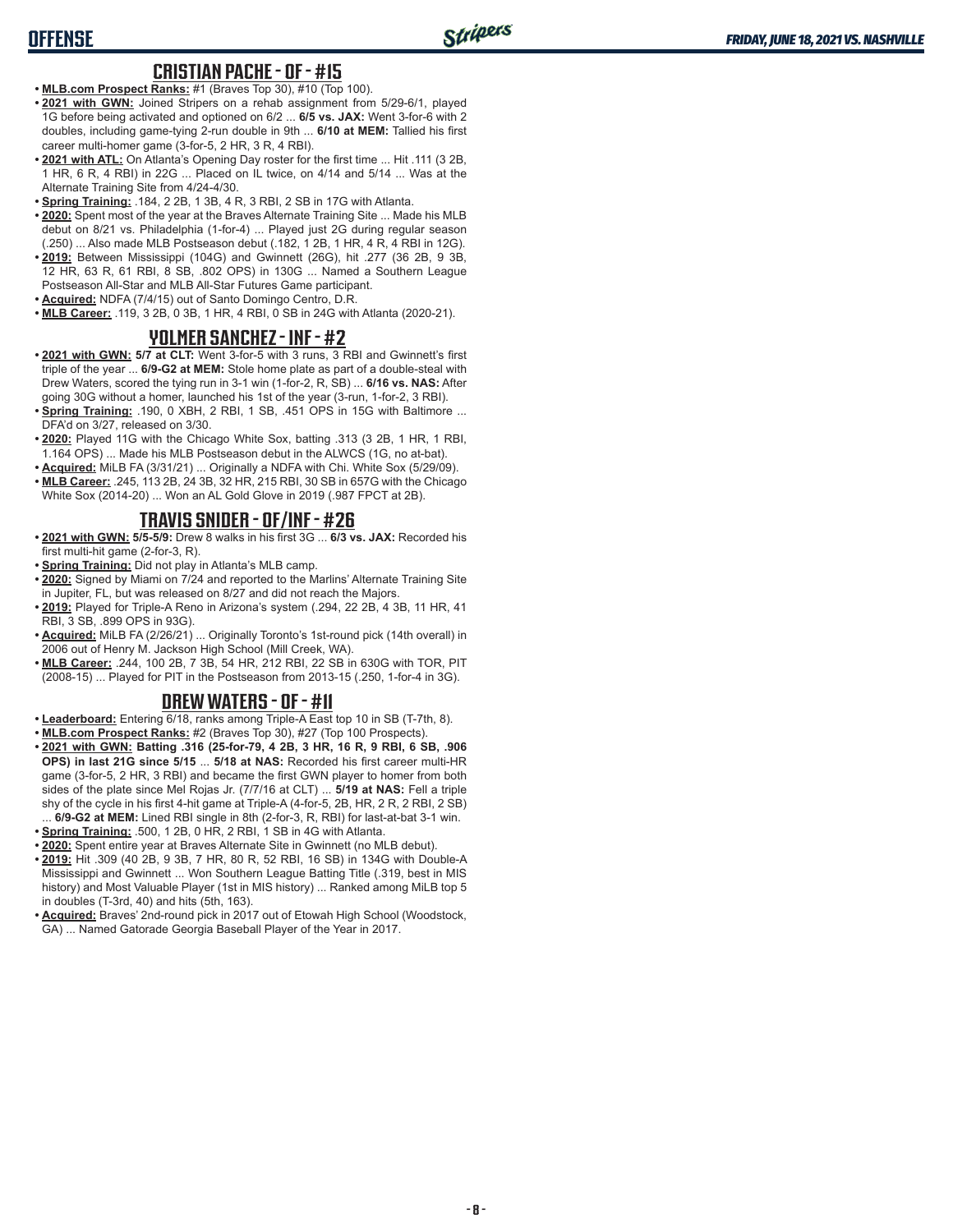## **OFFENSE**

#### **CRISTIAN PACHE - OF - #15**

- **• MLB.com Prospect Ranks:** #1 (Braves Top 30), #10 (Top 100).
- **• 2021 with GWN:** Joined Stripers on a rehab assignment from 5/29-6/1, played 1G before being activated and optioned on 6/2 ... **6/5 vs. JAX:** Went 3-for-6 with 2 doubles, including game-tying 2-run double in 9th ... **6/10 at MEM:** Tallied his first career multi-homer game (3-for-5, 2 HR, 3 R, 4 RBI).
- **• 2021 with ATL:** On Atlanta's Opening Day roster for the first time ... Hit .111 (3 2B, 1 HR, 6 R, 4 RBI) in 22G ... Placed on IL twice, on 4/14 and 5/14 ... Was at the Alternate Training Site from 4/24-4/30.
- **• Spring Training:** .184, 2 2B, 1 3B, 4 R, 3 RBI, 2 SB in 17G with Atlanta.
- **• 2020:** Spent most of the year at the Braves Alternate Training Site ... Made his MLB debut on 8/21 vs. Philadelphia (1-for-4) ... Played just 2G during regular season (.250) ... Also made MLB Postseason debut (.182, 1 2B, 1 HR, 4 R, 4 RBI in 12G).
- **• 2019:** Between Mississippi (104G) and Gwinnett (26G), hit .277 (36 2B, 9 3B, 12 HR, 63 R, 61 RBI, 8 SB, .802 OPS) in 130G ... Named a Southern League Postseason All-Star and MLB All-Star Futures Game participant.
- **• Acquired:** NDFA (7/4/15) out of Santo Domingo Centro, D.R.
- **• MLB Career:** .119, 3 2B, 0 3B, 1 HR, 4 RBI, 0 SB in 24G with Atlanta (2020-21).

#### **YOLMER SANCHEZ - INF - #2**

- **• 2021 with GWN: 5/7 at CLT:** Went 3-for-5 with 3 runs, 3 RBI and Gwinnett's first triple of the year ... **6/9-G2 at MEM:** Stole home plate as part of a double-steal with Drew Waters, scored the tying run in 3-1 win (1-for-2, R, SB) ... **6/16 vs. NAS:** After going 30G without a homer, launched his 1st of the year (3-run, 1-for-2, 3 RBI).
- **• Spring Training:** .190, 0 XBH, 2 RBI, 1 SB, .451 OPS in 15G with Baltimore ... DFA'd on 3/27, released on 3/30.
- **• 2020:** Played 11G with the Chicago White Sox, batting .313 (3 2B, 1 HR, 1 RBI, 1.164 OPS) ... Made his MLB Postseason debut in the ALWCS (1G, no at-bat).
- **• Acquired:** MiLB FA (3/31/21) ... Originally a NDFA with Chi. White Sox (5/29/09).
- **• MLB Career:** .245, 113 2B, 24 3B, 32 HR, 215 RBI, 30 SB in 657G with the Chicago White Sox (2014-20) ... Won an AL Gold Glove in 2019 (.987 FPCT at 2B).

### **TRAVIS SNIDER - OF/INF - #26**

- **• 2021 with GWN: 5/5-5/9:** Drew 8 walks in his first 3G ... **6/3 vs. JAX:** Recorded his first multi-hit game (2-for-3, R).
- **• Spring Training:** Did not play in Atlanta's MLB camp.
- **• 2020:** Signed by Miami on 7/24 and reported to the Marlins' Alternate Training Site in Jupiter, FL, but was released on 8/27 and did not reach the Majors.
- **• 2019:** Played for Triple-A Reno in Arizona's system (.294, 22 2B, 4 3B, 11 HR, 41 RBI, 3 SB, .899 OPS in 93G).
- **• Acquired:** MiLB FA (2/26/21) ... Originally Toronto's 1st-round pick (14th overall) in 2006 out of Henry M. Jackson High School (Mill Creek, WA).
- **• MLB Career:** .244, 100 2B, 7 3B, 54 HR, 212 RBI, 22 SB in 630G with TOR, PIT (2008-15) ... Played for PIT in the Postseason from 2013-15 (.250, 1-for-4 in 3G).

### **DREW WATERS - OF - #11**

- **• Leaderboard:** Entering 6/18, ranks among Triple-A East top 10 in SB (T-7th, 8).
- **• MLB.com Prospect Ranks:** #2 (Braves Top 30), #27 (Top 100 Prospects).
- **• 2021 with GWN: Batting .316 (25-for-79, 4 2B, 3 HR, 16 R, 9 RBI, 6 SB, .906 OPS) in last 21G since 5/15** ... **5/18 at NAS:** Recorded his first career multi-HR game (3-for-5, 2 HR, 3 RBI) and became the first GWN player to homer from both sides of the plate since Mel Rojas Jr. (7/7/16 at CLT) ... **5/19 at NAS:** Fell a triple shy of the cycle in his first 4-hit game at Triple-A (4-for-5, 2B, HR, 2 R, 2 RBI, 2 SB) ... **6/9-G2 at MEM:** Lined RBI single in 8th (2-for-3, R, RBI) for last-at-bat 3-1 win.
- **• Spring Training:** .500, 1 2B, 0 HR, 2 RBI, 1 SB in 4G with Atlanta.
- **• 2020:** Spent entire year at Braves Alternate Site in Gwinnett (no MLB debut).
- **• 2019:** Hit .309 (40 2B, 9 3B, 7 HR, 80 R, 52 RBI, 16 SB) in 134G with Double-A Mississippi and Gwinnett ... Won Southern League Batting Title (.319, best in MIS history) and Most Valuable Player (1st in MIS history) ... Ranked among MiLB top 5 in doubles (T-3rd, 40) and hits (5th, 163).
- **• Acquired:** Braves' 2nd-round pick in 2017 out of Etowah High School (Woodstock, GA) ... Named Gatorade Georgia Baseball Player of the Year in 2017.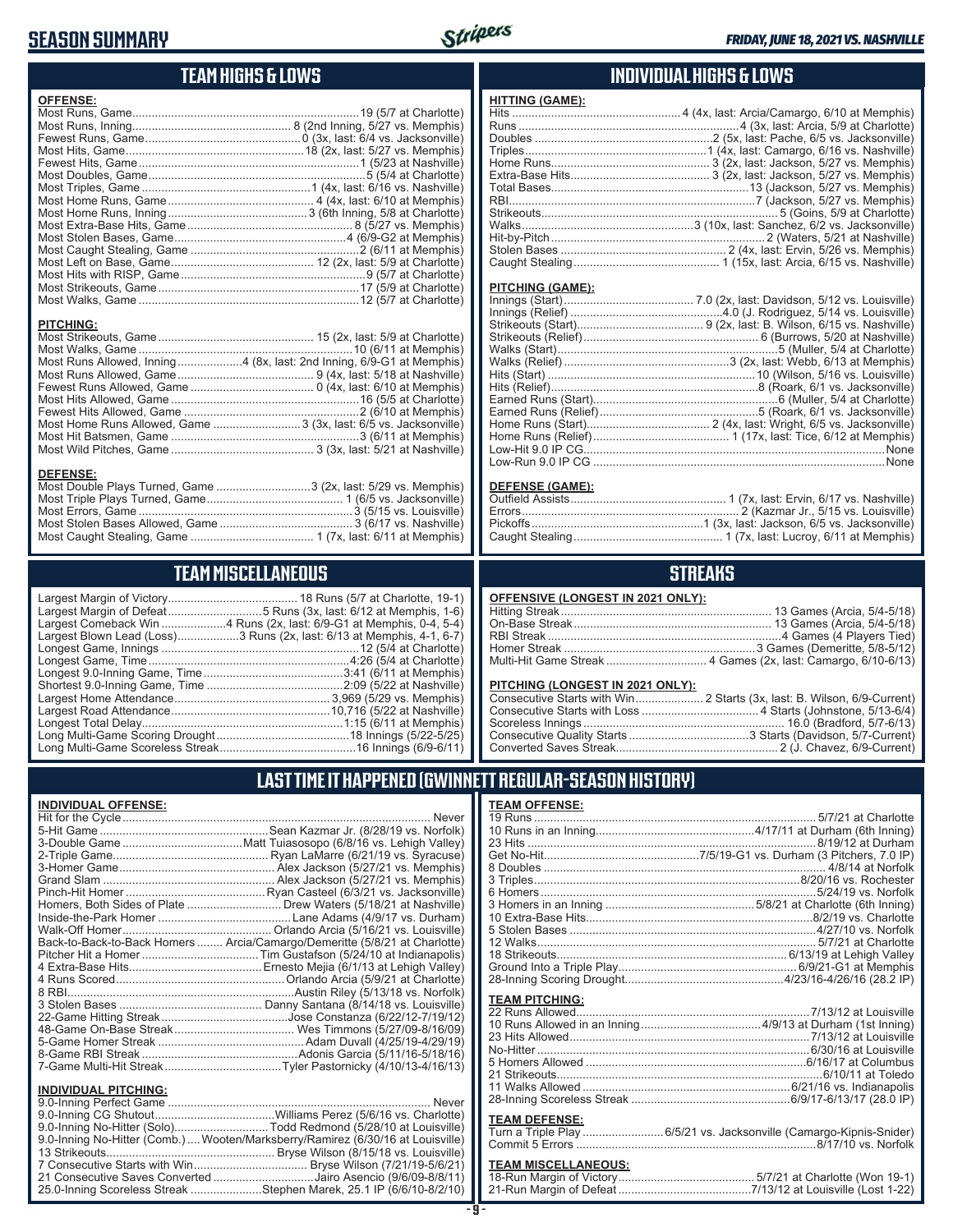## **SEASON SUMMARY**



## **TEAM HIGHS & LOWS**

| <b>OFFENSE:</b>                                                      |  |
|----------------------------------------------------------------------|--|
|                                                                      |  |
|                                                                      |  |
|                                                                      |  |
|                                                                      |  |
|                                                                      |  |
|                                                                      |  |
|                                                                      |  |
|                                                                      |  |
|                                                                      |  |
|                                                                      |  |
|                                                                      |  |
|                                                                      |  |
|                                                                      |  |
|                                                                      |  |
|                                                                      |  |
|                                                                      |  |
|                                                                      |  |
| <b>PITCHING:</b>                                                     |  |
|                                                                      |  |
|                                                                      |  |
| Most Runs Allowed, Inning4 (8x, last: 2nd Inning, 6/9-G1 at Memphis) |  |
|                                                                      |  |
|                                                                      |  |
|                                                                      |  |
|                                                                      |  |
| Most Home Runs Allowed, Game  3 (3x, last: 6/5 vs. Jacksonville)     |  |
|                                                                      |  |
|                                                                      |  |
| <b>DEFENSE:</b>                                                      |  |

#### **DEFENSE:**

| Most Double Plays Turned, Game 3 (2x, last: 5/29 vs. Memphis) |  |
|---------------------------------------------------------------|--|
|                                                               |  |
|                                                               |  |
|                                                               |  |
|                                                               |  |
|                                                               |  |

## **TEAM MISCELLANEOUS**

| Largest Blown Lead (Loss)3 Runs (2x, last: 6/13 at Memphis, 4-1, 6-7) |
|-----------------------------------------------------------------------|
|                                                                       |
|                                                                       |
|                                                                       |
|                                                                       |
|                                                                       |
|                                                                       |
|                                                                       |
|                                                                       |
|                                                                       |

#### **INDIVIDUAL HIGHS & LOWS**

| <b>HITTING (GAME):</b> |  |
|------------------------|--|
|                        |  |
|                        |  |
|                        |  |
|                        |  |
|                        |  |
|                        |  |
|                        |  |
|                        |  |
|                        |  |
|                        |  |
|                        |  |
|                        |  |
|                        |  |
|                        |  |

#### **PITCHING (GAME):**

#### **DEFENSE (GAME):**

## **STREAKS**

| OFFENSIVE (LONGEST IN 2021 ONLY): |  |  |
|-----------------------------------|--|--|
|-----------------------------------|--|--|

#### **PITCHING (LONGEST IN 2021 ONLY):**

| <u>THE STRIP (ESTIMATE) HT EVER SITE I A</u> |  |
|----------------------------------------------|--|
|                                              |  |
|                                              |  |
|                                              |  |
|                                              |  |
|                                              |  |
|                                              |  |

## **LAST TIME IT HAPPENED (GWINNETT REGULAR-SEASON HISTORY)**

#### **INDIVIDUAL OFFENSE:**

|                             | Homers, Both Sides of Plate  Drew Waters (5/18/21 at Nashville)            |
|-----------------------------|----------------------------------------------------------------------------|
|                             |                                                                            |
|                             |                                                                            |
|                             | Back-to-Back-to-Back Homers  Arcia/Camargo/Demeritte (5/8/21 at Charlotte) |
|                             |                                                                            |
|                             |                                                                            |
|                             |                                                                            |
|                             |                                                                            |
|                             |                                                                            |
|                             |                                                                            |
|                             |                                                                            |
|                             |                                                                            |
|                             |                                                                            |
|                             |                                                                            |
|                             |                                                                            |
| <b>INDIVIDUAL PITCHING:</b> |                                                                            |
|                             | $\overline{a}$                                                             |

| 9.0-Inning No-Hitter (Solo)Todd Redmond (5/28/10 at Louisville)                |  |
|--------------------------------------------------------------------------------|--|
| 9.0-Inning No-Hitter (Comb.) Wooten/Marksberry/Ramirez (6/30/16 at Louisville) |  |
|                                                                                |  |
|                                                                                |  |
| 21 Consecutive Saves Converted Jairo Asencio (9/6/09-8/8/11)                   |  |
| 25.0-Inning Scoreless Streak Stephen Marek, 25.1 IP (6/6/10-8/2/10)            |  |
|                                                                                |  |

#### **- 9 -**

| <b>TEAM OFFENSE:</b>  |                                                                |
|-----------------------|----------------------------------------------------------------|
|                       |                                                                |
|                       |                                                                |
|                       |                                                                |
|                       |                                                                |
|                       |                                                                |
|                       |                                                                |
|                       | 6 Homers……………………………………………………………………5/24/19 vs. Norfolk          |
|                       |                                                                |
|                       |                                                                |
|                       |                                                                |
|                       |                                                                |
|                       |                                                                |
|                       |                                                                |
|                       |                                                                |
| <b>TEAM PITCHING:</b> |                                                                |
|                       |                                                                |
|                       | 10 Pune Allowed in an Inning $A/9/13$ at Durbam $(Aet Inning)$ |

#### 10 Runs Allowed in an Inning 4/9/13 at Durham (1st Inning) 23 Hits Allowed 7/13/12 at Louisville No-Hitter ....................................................................................6/30/16 at Louisville 5 Homers Allowed 6/16/17 at Columbus 21 Strikeouts 6/10/11 at Toledo 11 Walks Allowed 6/21/16 vs. Indianapolis 28-Inning Scoreless Streak 6/9/17-6/13/17 (28.0 IP)

#### **TEAM DEFENSE:**

| Turn a Triple Play 6/5/21 vs. Jacksonville (Camargo-Kipnis-Snider) |
|--------------------------------------------------------------------|
|                                                                    |

# **TEAM MISCELLANEOUS:**<br>18-Run Margin of Victory.....